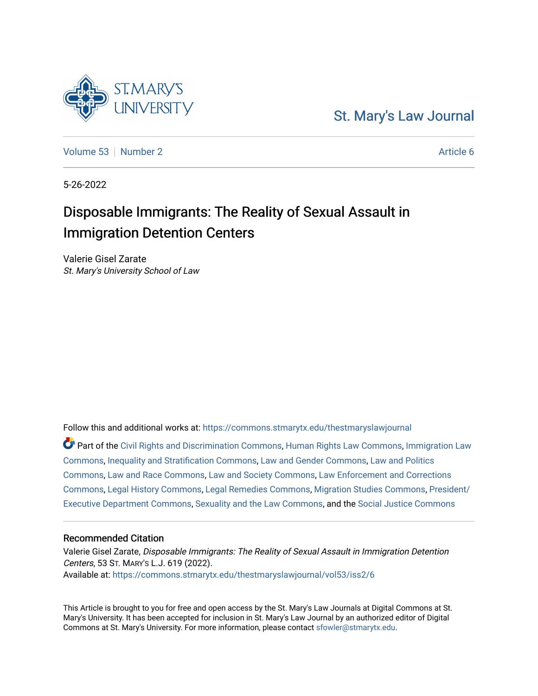# [St. Mary's Law Journal](https://commons.stmarytx.edu/thestmaryslawjournal)

[Volume 53](https://commons.stmarytx.edu/thestmaryslawjournal/vol53) [Number 2](https://commons.stmarytx.edu/thestmaryslawjournal/vol53/iss2) Article 6

5-26-2022

# Disposable Immigrants: The Reality of Sexual Assault in Immigration Detention Centers

Valerie Gisel Zarate St. Mary's University School of Law

Follow this and additional works at: [https://commons.stmarytx.edu/thestmaryslawjournal](https://commons.stmarytx.edu/thestmaryslawjournal?utm_source=commons.stmarytx.edu%2Fthestmaryslawjournal%2Fvol53%2Fiss2%2F6&utm_medium=PDF&utm_campaign=PDFCoverPages) 

Part of the [Civil Rights and Discrimination Commons,](https://network.bepress.com/hgg/discipline/585?utm_source=commons.stmarytx.edu%2Fthestmaryslawjournal%2Fvol53%2Fiss2%2F6&utm_medium=PDF&utm_campaign=PDFCoverPages) [Human Rights Law Commons,](https://network.bepress.com/hgg/discipline/847?utm_source=commons.stmarytx.edu%2Fthestmaryslawjournal%2Fvol53%2Fiss2%2F6&utm_medium=PDF&utm_campaign=PDFCoverPages) [Immigration Law](https://network.bepress.com/hgg/discipline/604?utm_source=commons.stmarytx.edu%2Fthestmaryslawjournal%2Fvol53%2Fiss2%2F6&utm_medium=PDF&utm_campaign=PDFCoverPages)  [Commons](https://network.bepress.com/hgg/discipline/604?utm_source=commons.stmarytx.edu%2Fthestmaryslawjournal%2Fvol53%2Fiss2%2F6&utm_medium=PDF&utm_campaign=PDFCoverPages), [Inequality and Stratification Commons](https://network.bepress.com/hgg/discipline/421?utm_source=commons.stmarytx.edu%2Fthestmaryslawjournal%2Fvol53%2Fiss2%2F6&utm_medium=PDF&utm_campaign=PDFCoverPages), [Law and Gender Commons](https://network.bepress.com/hgg/discipline/1298?utm_source=commons.stmarytx.edu%2Fthestmaryslawjournal%2Fvol53%2Fiss2%2F6&utm_medium=PDF&utm_campaign=PDFCoverPages), [Law and Politics](https://network.bepress.com/hgg/discipline/867?utm_source=commons.stmarytx.edu%2Fthestmaryslawjournal%2Fvol53%2Fiss2%2F6&utm_medium=PDF&utm_campaign=PDFCoverPages) [Commons](https://network.bepress.com/hgg/discipline/867?utm_source=commons.stmarytx.edu%2Fthestmaryslawjournal%2Fvol53%2Fiss2%2F6&utm_medium=PDF&utm_campaign=PDFCoverPages), [Law and Race Commons](https://network.bepress.com/hgg/discipline/1300?utm_source=commons.stmarytx.edu%2Fthestmaryslawjournal%2Fvol53%2Fiss2%2F6&utm_medium=PDF&utm_campaign=PDFCoverPages), [Law and Society Commons,](https://network.bepress.com/hgg/discipline/853?utm_source=commons.stmarytx.edu%2Fthestmaryslawjournal%2Fvol53%2Fiss2%2F6&utm_medium=PDF&utm_campaign=PDFCoverPages) [Law Enforcement and Corrections](https://network.bepress.com/hgg/discipline/854?utm_source=commons.stmarytx.edu%2Fthestmaryslawjournal%2Fvol53%2Fiss2%2F6&utm_medium=PDF&utm_campaign=PDFCoverPages)  [Commons](https://network.bepress.com/hgg/discipline/854?utm_source=commons.stmarytx.edu%2Fthestmaryslawjournal%2Fvol53%2Fiss2%2F6&utm_medium=PDF&utm_campaign=PDFCoverPages), [Legal History Commons,](https://network.bepress.com/hgg/discipline/904?utm_source=commons.stmarytx.edu%2Fthestmaryslawjournal%2Fvol53%2Fiss2%2F6&utm_medium=PDF&utm_campaign=PDFCoverPages) [Legal Remedies Commons](https://network.bepress.com/hgg/discipline/618?utm_source=commons.stmarytx.edu%2Fthestmaryslawjournal%2Fvol53%2Fiss2%2F6&utm_medium=PDF&utm_campaign=PDFCoverPages), [Migration Studies Commons](https://network.bepress.com/hgg/discipline/1394?utm_source=commons.stmarytx.edu%2Fthestmaryslawjournal%2Fvol53%2Fiss2%2F6&utm_medium=PDF&utm_campaign=PDFCoverPages), [President/](https://network.bepress.com/hgg/discipline/1118?utm_source=commons.stmarytx.edu%2Fthestmaryslawjournal%2Fvol53%2Fiss2%2F6&utm_medium=PDF&utm_campaign=PDFCoverPages) [Executive Department Commons](https://network.bepress.com/hgg/discipline/1118?utm_source=commons.stmarytx.edu%2Fthestmaryslawjournal%2Fvol53%2Fiss2%2F6&utm_medium=PDF&utm_campaign=PDFCoverPages), [Sexuality and the Law Commons,](https://network.bepress.com/hgg/discipline/877?utm_source=commons.stmarytx.edu%2Fthestmaryslawjournal%2Fvol53%2Fiss2%2F6&utm_medium=PDF&utm_campaign=PDFCoverPages) and the [Social Justice Commons](https://network.bepress.com/hgg/discipline/1432?utm_source=commons.stmarytx.edu%2Fthestmaryslawjournal%2Fvol53%2Fiss2%2F6&utm_medium=PDF&utm_campaign=PDFCoverPages)

# Recommended Citation

Valerie Gisel Zarate, Disposable Immigrants: The Reality of Sexual Assault in Immigration Detention Centers, 53 ST. MARY'S L.J. 619 (2022). Available at: [https://commons.stmarytx.edu/thestmaryslawjournal/vol53/iss2/6](https://commons.stmarytx.edu/thestmaryslawjournal/vol53/iss2/6?utm_source=commons.stmarytx.edu%2Fthestmaryslawjournal%2Fvol53%2Fiss2%2F6&utm_medium=PDF&utm_campaign=PDFCoverPages) 

This Article is brought to you for free and open access by the St. Mary's Law Journals at Digital Commons at St. Mary's University. It has been accepted for inclusion in St. Mary's Law Journal by an authorized editor of Digital Commons at St. Mary's University. For more information, please contact [sfowler@stmarytx.edu](mailto:sfowler@stmarytx.edu).

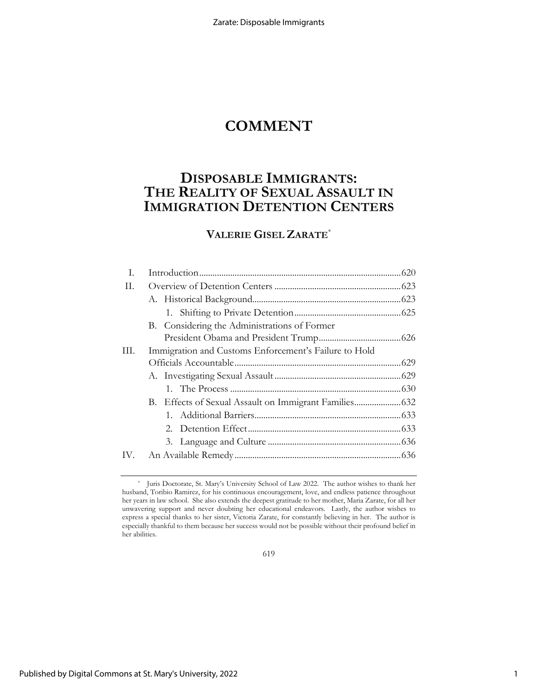# **COMMENT**

# **DISPOSABLE IMMIGRANTS: THE REALITY OF SEXUAL ASSAULT IN IMMIGRATION DETENTION CENTERS**

# **VALERIE GISEL ZARATE**\*

| I. |                                                       |  |
|----|-------------------------------------------------------|--|
| H. |                                                       |  |
|    |                                                       |  |
|    |                                                       |  |
|    | B. Considering the Administrations of Former          |  |
|    |                                                       |  |
| Ш. | Immigration and Customs Enforcement's Failure to Hold |  |
|    |                                                       |  |
|    |                                                       |  |
|    |                                                       |  |
|    |                                                       |  |
|    |                                                       |  |
|    |                                                       |  |
|    |                                                       |  |
|    |                                                       |  |
|    |                                                       |  |

619

<sup>\*</sup> Juris Doctorate, St. Mary's University School of Law 2022. The author wishes to thank her husband, Toribio Ramirez, for his continuous encouragement, love, and endless patience throughout her years in law school. She also extends the deepest gratitude to her mother, Maria Zarate, for all her unwavering support and never doubting her educational endeavors. Lastly, the author wishes to express a special thanks to her sister, Victoria Zarate, for constantly believing in her. The author is especially thankful to them because her success would not be possible without their profound belief in her abilities.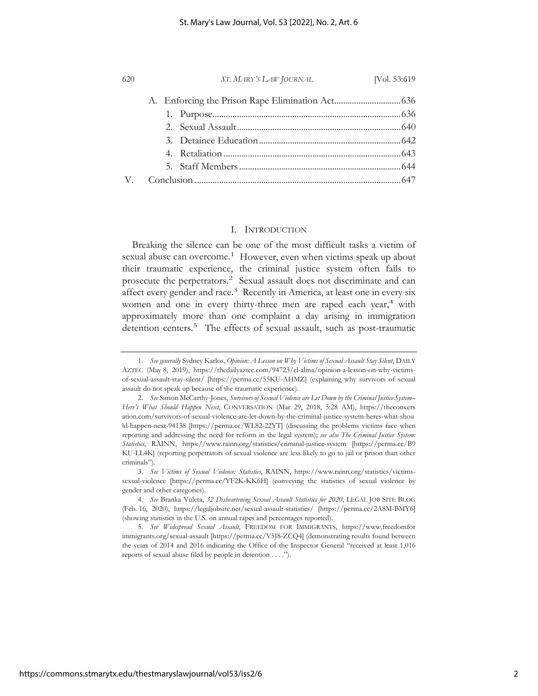| 620 | ST. MARY'S LAW JOURNAL | [Vol. 53:619] |
|-----|------------------------|---------------|
|     |                        |               |
|     |                        |               |
|     |                        |               |
|     |                        |               |
|     |                        |               |
|     |                        |               |
|     |                        |               |

### I. INTRODUCTION

Breaking the silence can be one of the most difficult tasks a victim of sexual abuse can overcome.<sup>1</sup> However, even when victims speak up about their traumatic experience, the criminal justice system often fails to prosecute the perpetrators.<sup>2</sup> Sexual assault does not discriminate and can affect every gender and race.3 Recently in America, at least one in every six women and one in every thirty-three men are raped each year,<sup>4</sup> with approximately more than one complaint a day arising in immigration detention centers.<sup>5</sup> The effects of sexual assault, such as post-traumatic

<sup>1.</sup> *See generally* Sydney Karlos, *Opinion: A Lesson on Why Victims of Sexual Assault Stay Silent*, DAILY AZTEC (May 8, 2019), https://thedailyaztec.com/94723/el-alma/opinion-a-lesson-on-why-victimsof-sexual-assault-stay-silent/ [https://perma.cc/55KU-AHMZ] (explaining why survivors of sexual assault do not speak up because of the traumatic experience).

<sup>2.</sup> *See* Simon McCarthy-Jones, *Survivors of Sexual Violence are Let Down by the Criminal Justice System– Here's What Should Happen Next*, CONVERSATION (Mar. 29, 2018, 5:28 AM), https://theconvers ation.com/survivors-of-sexual-violence-are-let-down-by-the-criminal-justice-system-heres-what-shou ld-happen-next-94138 [https://perma.cc/WL82-22YT] (discussing the problems victims face when reporting and addressing the need for reform in the legal system); *see also The Criminal Justice System: Statistics*, RAINN, https://www.rainn.org/statistics/criminal-justice-system [https://perma.cc/B9 KU-LL4K] (reporting perpetrators of sexual violence are less likely to go to jail or prison than other criminals").

<sup>3.</sup> *See Victims of Sexual Violence: Statistics*, RAINN, https://www.rainn.org/statistics/victimssexual-violence [https://perma.cc/YF2K-KK6H] (conveying the statistics of sexual violence by gender and other categories).

<sup>4.</sup> *See* Branka Vuleta, *32 Disheartening Sexual Assault Statistics for 2020*, LEGAL JOB SITE BLOG (Feb. 16, 2020), https://legaljobsite.net/sexual-assault-statistics/ [https://perma.cc/2A8M-BMY6] (showing statistics in the U.S. on annual rapes and percentages reported).

<sup>5.</sup> *See Widespread Sexual Assault*, FREEDOM FOR IMMIGRANTS, https://www.freedomfor immigrants.org/sexual-assault [https://perma.cc/V5J8-ZCQ4] (demonstrating results found between the years of 2014 and 2016 indicating the Office of the Inspector General "received at least 1,016 reports of sexual abuse filed by people in detention . . . .").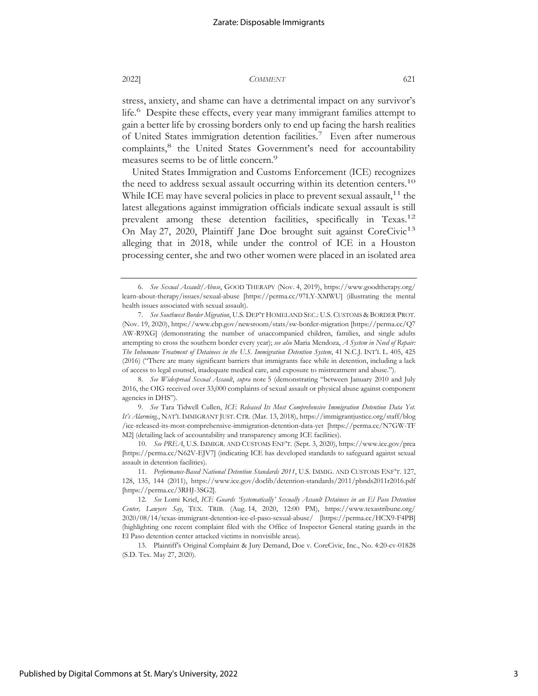stress, anxiety, and shame can have a detrimental impact on any survivor's life.6 Despite these effects, every year many immigrant families attempt to gain a better life by crossing borders only to end up facing the harsh realities of United States immigration detention facilities.7 Even after numerous complaints,<sup>8</sup> the United States Government's need for accountability measures seems to be of little concern.<sup>9</sup>

United States Immigration and Customs Enforcement (ICE) recognizes the need to address sexual assault occurring within its detention centers.<sup>10</sup> While ICE may have several policies in place to prevent sexual assault,  $11$  the latest allegations against immigration officials indicate sexual assault is still prevalent among these detention facilities, specifically in Texas.<sup>12</sup> On May 27, 2020, Plaintiff Jane Doe brought suit against CoreCivic<sup>13</sup> alleging that in 2018, while under the control of ICE in a Houston processing center, she and two other women were placed in an isolated area

10. *See PREA*, U.S. IMMIGR. AND CUSTOMS ENF'T. (Sept. 3, 2020), https://www.ice.gov/prea [https://perma.cc/N62V-EJV7] (indicating ICE has developed standards to safeguard against sexual assault in detention facilities).

<sup>6.</sup> *See Sexual Assault/Abuse*, GOOD THERAPY (Nov. 4, 2019), https://www.goodtherapy.org/ learn-about-therapy/issues/sexual-abuse [https://perma.cc/97LY-XMWU] (illustrating the mental health issues associated with sexual assault).

<sup>7.</sup> *See Southwest Border Migration*, U.S. DEP'T HOMELAND SEC.: U.S. CUSTOMS & BORDER PROT. (Nov. 19, 2020), https://www.cbp.gov/newsroom/stats/sw-border-migration [https://perma.cc/Q7 AW-R9XG] (demonstrating the number of unaccompanied children, families, and single adults attempting to cross the southern border every year); *see also* Maria Mendoza, *A System in Need of Repair: The Inhumane Treatment of Detainees in the U.S. Immigration Detention System*, 41 N.C.J. INT'L L. 405, 425 (2016) ("There are many significant barriers that immigrants face while in detention, including a lack of access to legal counsel, inadequate medical care, and exposure to mistreatment and abuse.").

<sup>8.</sup> *See Widespread Sexual Assault*, *supra* note 5 (demonstrating "between January 2010 and July 2016, the OIG received over 33,000 complaints of sexual assault or physical abuse against component agencies in DHS").

<sup>9.</sup> *See* Tara Tidwell Cullen, *ICE Released Its Most Comprehensive Immigration Detention Data Yet. It's Alarming.*, NAT'L IMMIGRANT JUST. CTR. (Mar. 13, 2018), https://immigrantjustice.org/staff/blog /ice-released-its-most-comprehensive-immigration-detention-data-yet [https://perma.cc/N7GW-TF M2] (detailing lack of accountability and transparency among ICE facilities).

<sup>11.</sup> *Performance-Based National Detention Standards 2011*, U.S. IMMIG. AND CUSTOMS ENF'T. 127, 128, 135, 144 (2011), https://www.ice.gov/doclib/detention-standards/2011/pbnds2011r2016.pdf [https://perma.cc/3RHJ-3SG2].

<sup>12.</sup> *See* Lomi Kriel, *ICE Guards 'Systematically' Sexually Assault Detainees in an El Paso Detention Center, Lawyers Say*, TEX. TRIB. (Aug. 14, 2020, 12:00 PM), https://www.texastribune.org/ 2020/08/14/texas-immigrant-detention-ice-el-paso-sexual-abuse/ [https://perma.cc/HCX9-F4PB] (highlighting one recent complaint filed with the Office of Inspector General stating guards in the El Paso detention center attacked victims in nonvisible areas).

<sup>13.</sup> Plaintiff's Original Complaint & Jury Demand, Doe v. CoreCivic, Inc., No. 4:20-cv-01828 (S.D. Tex. May 27, 2020).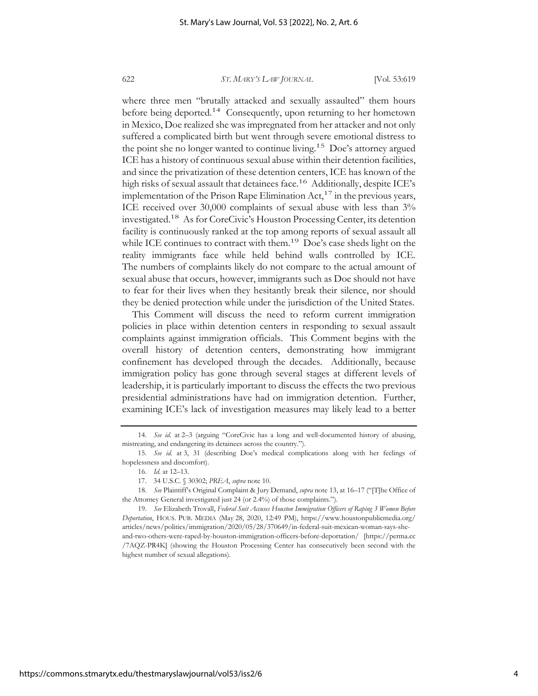where three men "brutally attacked and sexually assaulted" them hours before being deported.<sup>14</sup> Consequently, upon returning to her hometown in Mexico, Doe realized she was impregnated from her attacker and not only suffered a complicated birth but went through severe emotional distress to the point she no longer wanted to continue living.<sup>15</sup> Doe's attorney argued ICE has a history of continuous sexual abuse within their detention facilities, and since the privatization of these detention centers, ICE has known of the high risks of sexual assault that detainees face.<sup>16</sup> Additionally, despite ICE's implementation of the Prison Rape Elimination  $Act, ^{17}$  in the previous years, ICE received over 30,000 complaints of sexual abuse with less than 3% investigated.18 As for CoreCivic's Houston Processing Center, its detention facility is continuously ranked at the top among reports of sexual assault all while ICE continues to contract with them.<sup>19</sup> Doe's case sheds light on the reality immigrants face while held behind walls controlled by ICE. The numbers of complaints likely do not compare to the actual amount of sexual abuse that occurs, however, immigrants such as Doe should not have to fear for their lives when they hesitantly break their silence, nor should they be denied protection while under the jurisdiction of the United States.

This Comment will discuss the need to reform current immigration policies in place within detention centers in responding to sexual assault complaints against immigration officials. This Comment begins with the overall history of detention centers, demonstrating how immigrant confinement has developed through the decades. Additionally, because immigration policy has gone through several stages at different levels of leadership, it is particularly important to discuss the effects the two previous presidential administrations have had on immigration detention. Further, examining ICE's lack of investigation measures may likely lead to a better

<sup>14.</sup> *See id.* at 2–3 (arguing "CoreCivic has a long and well-documented history of abusing, mistreating, and endangering its detainees across the country.").

<sup>15.</sup> *See id.* at 3, 31 (describing Doe's medical complications along with her feelings of hopelessness and discomfort).

<sup>16.</sup> *Id.* at 12–13.

<sup>17. 34</sup> U.S.C. § 30302; *PREA*, *supra* note 10.

<sup>18.</sup> *See* Plaintiff's Original Complaint & Jury Demand, *supra* note 13, at 16–17 ("[T]he Office of the Attorney General investigated just 24 (or 2.4%) of those complaints.").

<sup>19.</sup> *See* Elizabeth Trovall, *Federal Suit Accuses Houston Immigration Officers of Raping 3 Women Before Deportation*, HOUS. PUB. MEDIA (May 28, 2020, 12:49 PM), https://www.houstonpublicmedia.org/ articles/news/politics/immigration/2020/05/28/370649/in-federal-suit-mexican-woman-says-sheand-two-others-were-raped-by-houston-immigration-officers-before-deportation/ [https://perma.cc /7AQZ-PR4K] (showing the Houston Processing Center has consecutively been second with the highest number of sexual allegations).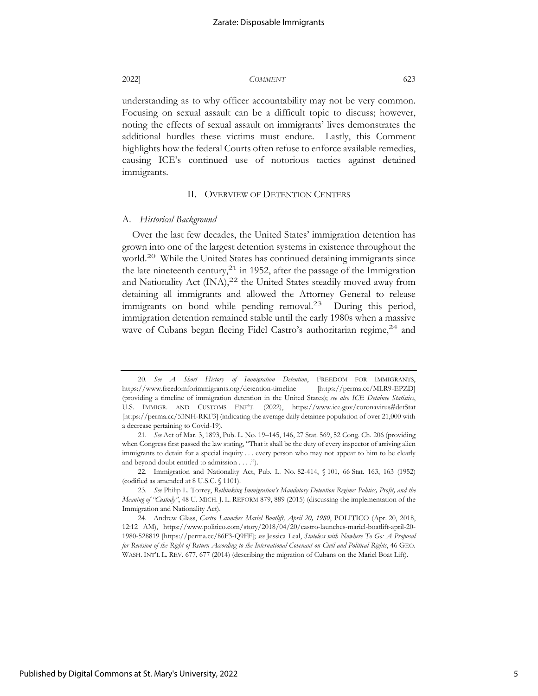understanding as to why officer accountability may not be very common. Focusing on sexual assault can be a difficult topic to discuss; however, noting the effects of sexual assault on immigrants' lives demonstrates the additional hurdles these victims must endure. Lastly, this Comment highlights how the federal Courts often refuse to enforce available remedies, causing ICE's continued use of notorious tactics against detained immigrants.

#### II. OVERVIEW OF DETENTION CENTERS

#### A. *Historical Background*

Over the last few decades, the United States' immigration detention has grown into one of the largest detention systems in existence throughout the world.<sup>20</sup> While the United States has continued detaining immigrants since the late nineteenth century,<sup>21</sup> in 1952, after the passage of the Immigration and Nationality Act  $(INA)$ ,<sup>22</sup> the United States steadily moved away from detaining all immigrants and allowed the Attorney General to release immigrants on bond while pending removal.<sup>23</sup> During this period, immigration detention remained stable until the early 1980s when a massive wave of Cubans began fleeing Fidel Castro's authoritarian regime,<sup>24</sup> and

<sup>20.</sup> *See A Short History of Immigration Detention*, FREEDOM FOR IMMIGRANTS, https://www.freedomforimmigrants.org/detention-timeline [https://perma.cc/MLR9-EPZD] (providing a timeline of immigration detention in the United States); *see also ICE Detainee Statistics*, U.S. IMMIGR. AND CUSTOMS ENF'T. (2022), https://www.ice.gov/coronavirus#detStat [https://perma.cc/53NH-RKF3] (indicating the average daily detainee population of over 21,000 with a decrease pertaining to Covid-19).

<sup>21.</sup> *See* Act of Mar. 3, 1893, Pub. L. No. 19–145, 146, 27 Stat. 569, 52 Cong. Ch. 206 (providing when Congress first passed the law stating, "That it shall be the duty of every inspector of arriving alien immigrants to detain for a special inquiry . . . every person who may not appear to him to be clearly and beyond doubt entitled to admission . . . .").

<sup>22.</sup> Immigration and Nationality Act, Pub. L. No. 82-414, § 101, 66 Stat. 163, 163 (1952) (codified as amended at 8 U.S.C. § 1101).

<sup>23.</sup> *See* Philip L. Torrey, *Rethinking Immigration's Mandatory Detention Regime: Politics, Profit, and the Meaning of "Custody"*, 48 U. MICH. J. L. REFORM 879, 889 (2015) (discussing the implementation of the Immigration and Nationality Act).

<sup>24.</sup> Andrew Glass, *Castro Launches Mariel Boatlift, April 20, 1980*, POLITICO (Apr. 20, 2018, 12:12 AM), https://www.politico.com/story/2018/04/20/castro-launches-mariel-boatlift-april-20- 1980-528819 [https://perma.cc/86F3-Q9FF]; *see* Jessica Leal, *Stateless with Nowhere To Go: A Proposal for Revision of the Right of Return According to the International Covenant on Civil and Political Rights*, 46 GEO. WASH. INT'L L. REV. 677, 677 (2014) (describing the migration of Cubans on the Mariel Boat Lift).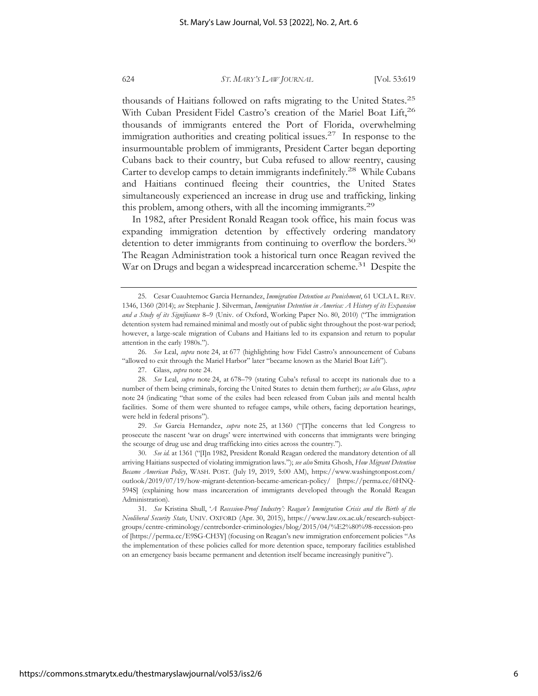thousands of Haitians followed on rafts migrating to the United States.25 With Cuban President Fidel Castro's creation of the Mariel Boat Lift,<sup>26</sup> thousands of immigrants entered the Port of Florida, overwhelming immigration authorities and creating political issues.<sup>27</sup> In response to the insurmountable problem of immigrants, President Carter began deporting Cubans back to their country, but Cuba refused to allow reentry, causing Carter to develop camps to detain immigrants indefinitely.28 While Cubans and Haitians continued fleeing their countries, the United States simultaneously experienced an increase in drug use and trafficking, linking this problem, among others, with all the incoming immigrants.29

In 1982, after President Ronald Reagan took office, his main focus was expanding immigration detention by effectively ordering mandatory detention to deter immigrants from continuing to overflow the borders.<sup>30</sup> The Reagan Administration took a historical turn once Reagan revived the War on Drugs and began a widespread incarceration scheme.<sup>31</sup> Despite the

26. *See* Leal, *supra* note 24, at 677 (highlighting how Fidel Castro's announcement of Cubans "allowed to exit through the Mariel Harbor" later "became known as the Mariel Boat Lift").

30. *See id.* at 1361 ("[I]n 1982, President Ronald Reagan ordered the mandatory detention of all arriving Haitians suspected of violating immigration laws."); *see also* Smita Ghosh, *How Migrant Detention Became American Policy*, WASH. POST. (July 19, 2019, 5:00 AM), https://www.washingtonpost.com/ outlook/2019/07/19/how-migrant-detention-became-american-policy/ [https://perma.cc/6HNQ-594S] (explaining how mass incarceration of immigrants developed through the Ronald Reagan Administration).

<sup>25.</sup> Cesar Cuauhtemoc Garcia Hernandez, *Immigration Detention as Punishment*, 61 UCLA L. REV. 1346, 1360 (2014); *see* Stephanie J. Silverman, *Immigration Detention in America: A History of its Expansion and a Study of its Significance* 8–9 (Univ. of Oxford, Working Paper No. 80, 2010) ("The immigration detention system had remained minimal and mostly out of public sight throughout the post-war period; however, a large-scale migration of Cubans and Haitians led to its expansion and return to popular attention in the early 1980s.").

<sup>27.</sup> Glass, *supra* note 24.

<sup>28.</sup> *See* Leal, *supra* note 24, at 678–79 (stating Cuba's refusal to accept its nationals due to a number of them being criminals, forcing the United States to detain them further); *see also* Glass, *supra*  note 24 (indicating "that some of the exiles had been released from Cuban jails and mental health facilities. Some of them were shunted to refugee camps, while others, facing deportation hearings, were held in federal prisons").

<sup>29.</sup> *See* Garcia Hernandez, *supra* note 25, at 1360 ("[T]he concerns that led Congress to prosecute the nascent 'war on drugs' were intertwined with concerns that immigrants were bringing the scourge of drug use and drug trafficking into cities across the country.").

<sup>31.</sup> *See* Kristina Shull, '*A Recession-Proof Industry': Reagan's Immigration Crisis and the Birth of the Neoliberal Security State*, UNIV. OXFORD (Apr. 30, 2015), https://www.law.ox.ac.uk/research-subjectgroups/centre-criminology/centreborder-criminologies/blog/2015/04/%E2%80%98-recession-pro of [https://perma.cc/E9SG-CH3Y] (focusing on Reagan's new immigration enforcement policies "As the implementation of these policies called for more detention space, temporary facilities established on an emergency basis became permanent and detention itself became increasingly punitive").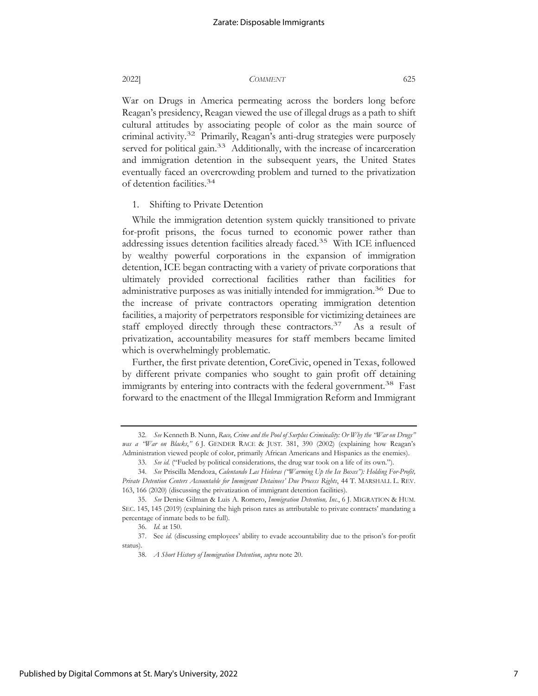War on Drugs in America permeating across the borders long before Reagan's presidency, Reagan viewed the use of illegal drugs as a path to shift cultural attitudes by associating people of color as the main source of criminal activity.32 Primarily, Reagan's anti-drug strategies were purposely served for political gain.<sup>33</sup> Additionally, with the increase of incarceration and immigration detention in the subsequent years, the United States eventually faced an overcrowding problem and turned to the privatization of detention facilities.34

1. Shifting to Private Detention

While the immigration detention system quickly transitioned to private for-profit prisons, the focus turned to economic power rather than addressing issues detention facilities already faced.35 With ICE influenced by wealthy powerful corporations in the expansion of immigration detention, ICE began contracting with a variety of private corporations that ultimately provided correctional facilities rather than facilities for administrative purposes as was initially intended for immigration.<sup>36</sup> Due to the increase of private contractors operating immigration detention facilities, a majority of perpetrators responsible for victimizing detainees are staff employed directly through these contractors.<sup>37</sup> As a result of privatization, accountability measures for staff members became limited which is overwhelmingly problematic.

Further, the first private detention, CoreCivic, opened in Texas, followed by different private companies who sought to gain profit off detaining immigrants by entering into contracts with the federal government.<sup>38</sup> Fast forward to the enactment of the Illegal Immigration Reform and Immigrant

Published by Digital Commons at St. Mary's University, 2022

<sup>32.</sup> *See* Kenneth B. Nunn, *Race, Crime and the Pool of Surplus Criminality: Or Why the "War on Drugs" was a "War on Blacks*,*"* 6 J. GENDER RACE & JUST. 381, 390 (2002) (explaining how Reagan's Administration viewed people of color, primarily African Americans and Hispanics as the enemies).

<sup>33.</sup> *See id.* ("Fueled by political considerations, the drug war took on a life of its own.").

<sup>34.</sup> *See* Priscilla Mendoza, *Calentando Las Hieleras ("Warming Up the Ice Boxes"): Holding For-Profit, Private Detention Centers Accountable for Immigrant Detainees' Due Process Rights*, 44 T. MARSHALL L. REV. 163, 166 (2020) (discussing the privatization of immigrant detention facilities).

<sup>35.</sup> *See* Denise Gilman & Luis A. Romero, *Immigration Detention, Inc.*, 6 J. MIGRATION & HUM. SEC. 145, 145 (2019) (explaining the high prison rates as attributable to private contracts' mandating a percentage of inmate beds to be full).

<sup>36.</sup> *Id.* at 150.

<sup>37.</sup> See *id.* (discussing employees' ability to evade accountability due to the prison's for-profit status).

<sup>38.</sup> *A Short History of Immigration Detention*, *supra* note 20.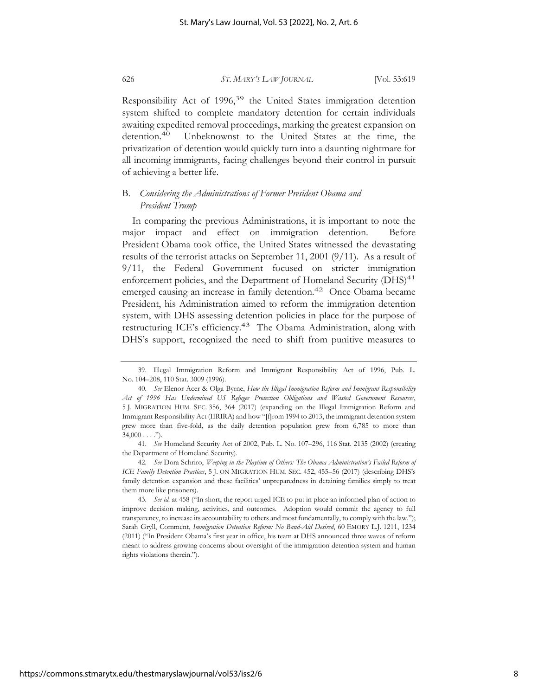Responsibility Act of 1996,<sup>39</sup> the United States immigration detention system shifted to complete mandatory detention for certain individuals awaiting expedited removal proceedings, marking the greatest expansion on detention.<sup>40</sup> Unbeknownst to the United States at the time, the privatization of detention would quickly turn into a daunting nightmare for all incoming immigrants, facing challenges beyond their control in pursuit of achieving a better life.

# B. *Considering the Administrations of Former President Obama and President Trump*

In comparing the previous Administrations, it is important to note the major impact and effect on immigration detention. Before President Obama took office, the United States witnessed the devastating results of the terrorist attacks on September 11, 2001 (9/11). As a result of 9/11, the Federal Government focused on stricter immigration enforcement policies, and the Department of Homeland Security (DHS)<sup>41</sup> emerged causing an increase in family detention.<sup>42</sup> Once Obama became President, his Administration aimed to reform the immigration detention system, with DHS assessing detention policies in place for the purpose of restructuring ICE's efficiency.<sup>43</sup> The Obama Administration, along with DHS's support, recognized the need to shift from punitive measures to

<sup>39.</sup> Illegal Immigration Reform and Immigrant Responsibility Act of 1996, Pub. L. No. 104–208, 110 Stat. 3009 (1996).

<sup>40.</sup> *See* Elenor Acer & Olga Byrne, *How the Illegal Immigration Reform and Immigrant Responsibility Act of 1996 Has Undermined US Refugee Protection Obligations and Wasted Government Resources*, 5 J. MIGRATION HUM. SEC. 356, 364 (2017) (expanding on the Illegal Immigration Reform and Immigrant Responsibility Act (IIRIRA) and how "[f]rom 1994 to 2013, the immigrant detention system grew more than five-fold, as the daily detention population grew from 6,785 to more than  $34,000...$ ").

<sup>41.</sup> *See* Homeland Security Act of 2002, Pub. L. No. 107–296, 116 Stat. 2135 (2002) (creating the Department of Homeland Security).

<sup>42.</sup> *See* Dora Schriro, *Weeping in the Playtime of Others: The Obama Administration's Failed Reform of ICE Family Detention Practices*, 5 J. ON MIGRATION HUM. SEC. 452, 455–56 (2017) (describing DHS's family detention expansion and these facilities' unpreparedness in detaining families simply to treat them more like prisoners).

<sup>43.</sup> *See id.* at 458 ("In short, the report urged ICE to put in place an informed plan of action to improve decision making, activities, and outcomes. Adoption would commit the agency to full transparency, to increase its accountability to others and most fundamentally, to comply with the law."); Sarah Gryll, Comment, *Immigration Detention Reform: No Band-Aid Desired*, 60 EMORY L.J. 1211, 1234 (2011) ("In President Obama's first year in office, his team at DHS announced three waves of reform meant to address growing concerns about oversight of the immigration detention system and human rights violations therein.").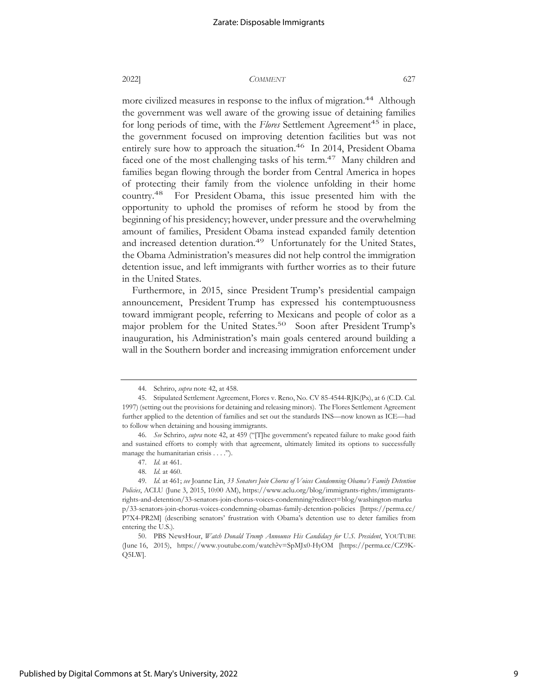more civilized measures in response to the influx of migration.<sup>44</sup> Although the government was well aware of the growing issue of detaining families for long periods of time, with the *Flores* Settlement Agreement<sup>45</sup> in place, the government focused on improving detention facilities but was not entirely sure how to approach the situation.<sup>46</sup> In 2014, President Obama faced one of the most challenging tasks of his term.<sup>47</sup> Many children and families began flowing through the border from Central America in hopes of protecting their family from the violence unfolding in their home country.48 For President Obama, this issue presented him with the opportunity to uphold the promises of reform he stood by from the beginning of his presidency; however, under pressure and the overwhelming amount of families, President Obama instead expanded family detention and increased detention duration.<sup>49</sup> Unfortunately for the United States, the Obama Administration's measures did not help control the immigration detention issue, and left immigrants with further worries as to their future in the United States.

Furthermore, in 2015, since President Trump's presidential campaign announcement, President Trump has expressed his contemptuousness toward immigrant people, referring to Mexicans and people of color as a major problem for the United States.<sup>50</sup> Soon after President Trump's inauguration, his Administration's main goals centered around building a wall in the Southern border and increasing immigration enforcement under

<sup>44.</sup> Schriro, *supra* note 42, at 458.

<sup>45.</sup> Stipulated Settlement Agreement, Flores v. Reno, No. CV 85-4544-RJK(Px), at 6 (C.D. Cal. 1997) (setting out the provisions for detaining and releasing minors). The Flores Settlement Agreement further applied to the detention of families and set out the standards INS—now known as ICE—had to follow when detaining and housing immigrants.

<sup>46.</sup> *See* Schriro, *supra* note 42, at 459 ("[T]he government's repeated failure to make good faith and sustained efforts to comply with that agreement, ultimately limited its options to successfully manage the humanitarian crisis . . . .").

<sup>47.</sup> *Id.* at 461.

<sup>48.</sup> *Id.* at 460.

<sup>49.</sup> *Id.* at 461; *see* Joanne Lin, *33 Senators Join Chorus of Voices Condemning Obama's Family Detention Policies*, ACLU (June 3, 2015, 10:00 AM), https://www.aclu.org/blog/immigrants-rights/immigrantsrights-and-detention/33-senators-join-chorus-voices-condemning?redirect=blog/washington-marku p/33-senators-join-chorus-voices-condemning-obamas-family-detention-policies [https://perma.cc/ P7X4-PR2M] (describing senators' frustration with Obama's detention use to deter families from entering the U.S.).

<sup>50.</sup> PBS NewsHour, *Watch Donald Trump Announce His Candidacy for U.S. President*, YOUTUBE (June 16, 2015), https://www.youtube.com/watch?v=SpMJx0-HyOM [https://perma.cc/CZ9K-Q5LW].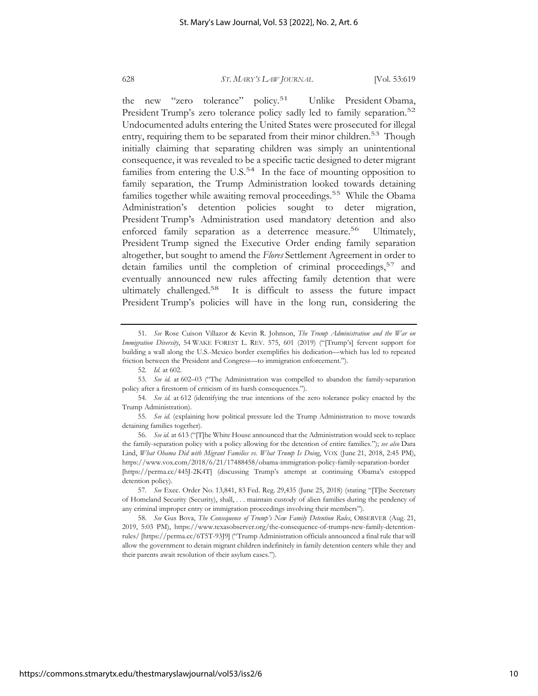the new "zero tolerance" policy.51 Unlike President Obama, President Trump's zero tolerance policy sadly led to family separation.<sup>52</sup> Undocumented adults entering the United States were prosecuted for illegal entry, requiring them to be separated from their minor children.<sup>53</sup> Though initially claiming that separating children was simply an unintentional consequence, it was revealed to be a specific tactic designed to deter migrant families from entering the  $U.S.^{54}$  In the face of mounting opposition to family separation, the Trump Administration looked towards detaining families together while awaiting removal proceedings.<sup>55</sup> While the Obama Administration's detention policies sought to deter migration, President Trump's Administration used mandatory detention and also enforced family separation as a deterrence measure.<sup>56</sup> Ultimately, President Trump signed the Executive Order ending family separation altogether, but sought to amend the *Flores* Settlement Agreement in order to detain families until the completion of criminal proceedings,  $57$  and eventually announced new rules affecting family detention that were ultimately challenged.<sup>58</sup> It is difficult to assess the future impact President Trump's policies will have in the long run, considering the

<sup>51.</sup> *See* Rose Cuison Villazor & Kevin R. Johnson, *The Trump Administration and the War on Immigration Diversity*, 54 WAKE FOREST L. REV. 575, 601 (2019) ("[Trump's] fervent support for building a wall along the U.S.-Mexico border exemplifies his dedication—which has led to repeated friction between the President and Congress—to immigration enforcement.").

<sup>52.</sup> *Id.* at 602.

<sup>53.</sup> *See id.* at 602–03 ("The Administration was compelled to abandon the family-separation policy after a firestorm of criticism of its harsh consequences.").

<sup>54.</sup> *See id.* at 612 (identifying the true intentions of the zero tolerance policy enacted by the Trump Administration).

<sup>55.</sup> *See id.* (explaining how political pressure led the Trump Administration to move towards detaining families together).

<sup>56.</sup> *See id.* at 613 ("[T]he White House announced that the Administration would seek to replace the family-separation policy with a policy allowing for the detention of entire families."); *see also* Dara Lind, *What Obama Did with Migrant Families vs. What Trump Is Doing*, VOX (June 21, 2018, 2:45 PM), https://www.vox.com/2018/6/21/17488458/obama-immigration-policy-family-separation-border [https://perma.cc/445J-2K4T] (discussing Trump's attempt at continuing Obama's estopped detention policy).

<sup>57.</sup> *See* Exec. Order No. 13,841, 83 Fed. Reg. 29,435 (June 25, 2018) (stating "[T]he Secretary of Homeland Security (Security), shall, . . . maintain custody of alien families during the pendency of any criminal improper entry or immigration proceedings involving their members").

<sup>58.</sup> *See* Gus Bova, *The Consequence of Trump's New Family Detention Rules*, OBSERVER (Aug. 21, 2019, 5:03 PM), https://www.texasobserver.org/the-consequence-of-trumps-new-family-detentionrules/ [https://perma.cc/6T5T-93J9] ("Trump Administration officials announced a final rule that will allow the government to detain migrant children indefinitely in family detention centers while they and their parents await resolution of their asylum cases.").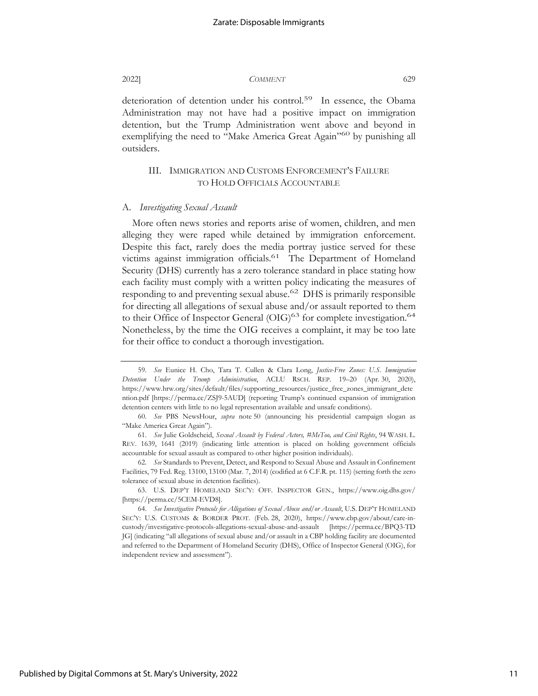deterioration of detention under his control.<sup>59</sup> In essence, the Obama Administration may not have had a positive impact on immigration detention, but the Trump Administration went above and beyond in exemplifying the need to "Make America Great Again"<sup>60</sup> by punishing all outsiders.

# III. IMMIGRATION AND CUSTOMS ENFORCEMENT'S FAILURE TO HOLD OFFICIALS ACCOUNTABLE

#### A. *Investigating Sexual Assault*

More often news stories and reports arise of women, children, and men alleging they were raped while detained by immigration enforcement. Despite this fact, rarely does the media portray justice served for these victims against immigration officials.<sup>61</sup> The Department of Homeland Security (DHS) currently has a zero tolerance standard in place stating how each facility must comply with a written policy indicating the measures of responding to and preventing sexual abuse.<sup>62</sup> DHS is primarily responsible for directing all allegations of sexual abuse and/or assault reported to them to their Office of Inspector General  $(OIG)^{63}$  for complete investigation.<sup>64</sup> Nonetheless, by the time the OIG receives a complaint, it may be too late for their office to conduct a thorough investigation.

<sup>59.</sup> *See* Eunice H. Cho, Tara T. Cullen & Clara Long, *Justice-Free Zones: U.S. Immigration Detention Under the Trump Administration*, ACLU RSCH. REP. 19–20 (Apr. 30, 2020), https://www.hrw.org/sites/default/files/supporting\_resources/justice\_free\_zones\_immigrant\_dete ntion.pdf [https://perma.cc/ZSJ9-5AUD] (reporting Trump's continued expansion of immigration detention centers with little to no legal representation available and unsafe conditions).

<sup>60.</sup> *See* PBS NewsHour, *supra* note 50 (announcing his presidential campaign slogan as "Make America Great Again").

<sup>61.</sup> *See* Julie Goldscheid, *Sexual Assault by Federal Actors, #MeToo, and Civil Rights*, 94 WASH. L. REV. 1639, 1641 (2019) (indicating little attention is placed on holding government officials accountable for sexual assault as compared to other higher position individuals).

<sup>62.</sup> *See* Standards to Prevent, Detect, and Respond to Sexual Abuse and Assault in Confinement Facilities, 79 Fed. Reg. 13100, 13100 (Mar. 7, 2014) (codified at 6 C.F.R. pt. 115) (setting forth the zero tolerance of sexual abuse in detention facilities).

<sup>63.</sup> U.S. DEP'T HOMELAND SEC'Y: OFF. INSPECTOR GEN., https://www.oig.dhs.gov/ [https://perma.cc/5CEM-EVD8].

<sup>64.</sup> *See Investigative Protocols for Allegations of Sexual Abuse and/or Assault*, U.S. DEP'T HOMELAND SEC'Y: U.S. CUSTOMS & BORDER PROT. (Feb. 28, 2020), https://www.cbp.gov/about/care-incustody/investigative-protocols-allegations-sexual-abuse-and-assault [https://perma.cc/BPQ3-TD JG] (indicating "all allegations of sexual abuse and/or assault in a CBP holding facility are documented and referred to the Department of Homeland Security (DHS), Office of Inspector General (OIG), for independent review and assessment").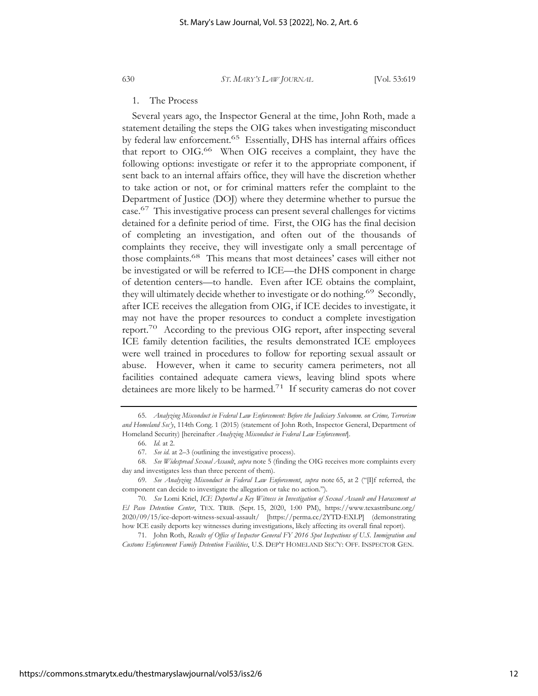#### 1. The Process

Several years ago, the Inspector General at the time, John Roth, made a statement detailing the steps the OIG takes when investigating misconduct by federal law enforcement.<sup>65</sup> Essentially, DHS has internal affairs offices that report to OIG.<sup>66</sup> When OIG receives a complaint, they have the following options: investigate or refer it to the appropriate component, if sent back to an internal affairs office, they will have the discretion whether to take action or not, or for criminal matters refer the complaint to the Department of Justice (DOJ) where they determine whether to pursue the case.67 This investigative process can present several challenges for victims detained for a definite period of time. First, the OIG has the final decision of completing an investigation, and often out of the thousands of complaints they receive, they will investigate only a small percentage of those complaints.68 This means that most detainees' cases will either not be investigated or will be referred to ICE—the DHS component in charge of detention centers—to handle. Even after ICE obtains the complaint, they will ultimately decide whether to investigate or do nothing.<sup>69</sup> Secondly, after ICE receives the allegation from OIG, if ICE decides to investigate, it may not have the proper resources to conduct a complete investigation report.70 According to the previous OIG report, after inspecting several ICE family detention facilities, the results demonstrated ICE employees were well trained in procedures to follow for reporting sexual assault or abuse. However, when it came to security camera perimeters, not all facilities contained adequate camera views, leaving blind spots where detainees are more likely to be harmed.<sup>71</sup> If security cameras do not cover

<sup>65.</sup> *Analyzing Misconduct in Federal Law Enforcement: Before the Judiciary Subcomm. on Crime, Terrorism and Homeland Sec'y*, 114th Cong. 1 (2015) (statement of John Roth, Inspector General, Department of Homeland Security) [hereinafter *Analyzing Misconduct in Federal Law Enforcement*].

<sup>66.</sup> *Id.* at 2.

<sup>67.</sup> *See id.* at 2–3 (outlining the investigative process).

<sup>68.</sup> *See Widespread Sexual Assault*, *supra* note 5 (finding the OIG receives more complaints every day and investigates less than three percent of them).

<sup>69.</sup> *See Analyzing Misconduct in Federal Law Enforcement*, *supra* note 65, at 2 ("[I]f referred, the component can decide to investigate the allegation or take no action.").

<sup>70.</sup> *See* Lomi Kriel, *ICE Deported a Key Witness in Investigation of Sexual Assault and Harassment at El Paso Detention Center*, TEX. TRIB. (Sept. 15, 2020, 1:00 PM), https://www.texastribune.org/ 2020/09/15/ice-deport-witness-sexual-assault/ [https://perma.cc/2YTD-EXLP] (demonstrating how ICE easily deports key witnesses during investigations, likely affecting its overall final report).

<sup>71.</sup> John Roth, *Results of Office of Inspector General FY 2016 Spot Inspections of U.S. Immigration and Customs Enforcement Family Detention Facilities*, U.S. DEP'T HOMELAND SEC'Y: OFF. INSPECTOR GEN.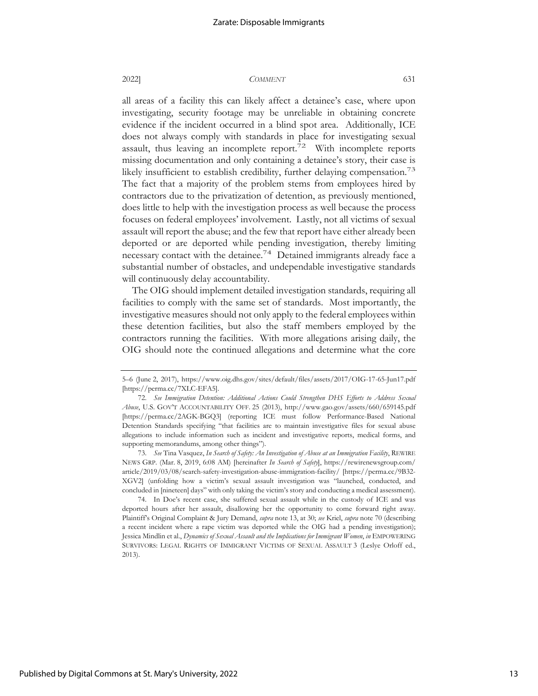all areas of a facility this can likely affect a detainee's case, where upon investigating, security footage may be unreliable in obtaining concrete evidence if the incident occurred in a blind spot area. Additionally, ICE does not always comply with standards in place for investigating sexual assault, thus leaving an incomplete report.<sup>72</sup> With incomplete reports missing documentation and only containing a detainee's story, their case is likely insufficient to establish credibility, further delaying compensation.<sup>73</sup> The fact that a majority of the problem stems from employees hired by contractors due to the privatization of detention, as previously mentioned, does little to help with the investigation process as well because the process focuses on federal employees' involvement. Lastly, not all victims of sexual assault will report the abuse; and the few that report have either already been deported or are deported while pending investigation, thereby limiting necessary contact with the detainee.74 Detained immigrants already face a substantial number of obstacles, and undependable investigative standards will continuously delay accountability.

The OIG should implement detailed investigation standards, requiring all facilities to comply with the same set of standards. Most importantly, the investigative measures should not only apply to the federal employees within these detention facilities, but also the staff members employed by the contractors running the facilities. With more allegations arising daily, the OIG should note the continued allegations and determine what the core

<sup>5–6 (</sup>June 2, 2017), https://www.oig.dhs.gov/sites/default/files/assets/2017/OIG-17-65-Jun17.pdf [https://perma.cc/7XLC-EFA5].

<sup>72.</sup> *See Immigration Detention: Additional Actions Could Strengthen DHS Efforts to Address Sexual Abuse*, U.S. GOV'T ACCOUNTABILITY OFF. 25 (2013), http://www.gao.gov/assets/660/659145.pdf [https://perma.cc/2AGK-BGQ3] (reporting ICE must follow Performance-Based National Detention Standards specifying "that facilities are to maintain investigative files for sexual abuse allegations to include information such as incident and investigative reports, medical forms, and supporting memorandums, among other things").

<sup>73.</sup> *See* Tina Vasquez, *In Search of Safety: An Investigation of Abuse at an Immigration Facility*, REWIRE NEWS GRP. (Mar. 8, 2019, 6:08 AM) [hereinafter *In Search of Safety*], https://rewirenewsgroup.com/ article/2019/03/08/search-safety-investigation-abuse-immigration-facility/ [https://perma.cc/9B32- XGV2] (unfolding how a victim's sexual assault investigation was "launched, conducted, and concluded in [nineteen] days" with only taking the victim's story and conducting a medical assessment).

<sup>74.</sup> In Doe's recent case, she suffered sexual assault while in the custody of ICE and was deported hours after her assault, disallowing her the opportunity to come forward right away. Plaintiff's Original Complaint & Jury Demand, *supra* note 13, at 30; *see* Kriel, *supra* note 70 (describing a recent incident where a rape victim was deported while the OIG had a pending investigation); Jessica Mindlin et al., *Dynamics of Sexual Assault and the Implications for Immigrant Women*, *in* EMPOWERING SURVIVORS: LEGAL RIGHTS OF IMMIGRANT VICTIMS OF SEXUAL ASSAULT 3 (Leslye Orloff ed., 2013).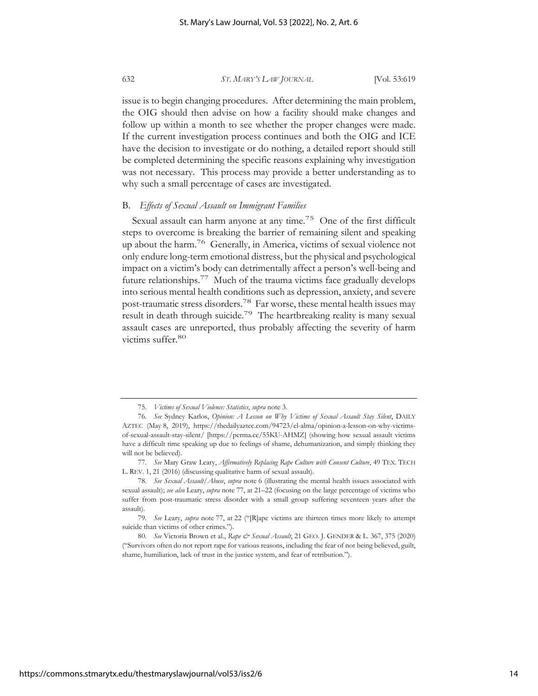issue is to begin changing procedures. After determining the main problem, the OIG should then advise on how a facility should make changes and follow up within a month to see whether the proper changes were made. If the current investigation process continues and both the OIG and ICE have the decision to investigate or do nothing, a detailed report should still be completed determining the specific reasons explaining why investigation was not necessary. This process may provide a better understanding as to why such a small percentage of cases are investigated.

## B. *Effects of Sexual Assault on Immigrant Families*

Sexual assault can harm anyone at any time.<sup>75</sup> One of the first difficult steps to overcome is breaking the barrier of remaining silent and speaking up about the harm.76 Generally, in America, victims of sexual violence not only endure long-term emotional distress, but the physical and psychological impact on a victim's body can detrimentally affect a person's well-being and future relationships.77 Much of the trauma victims face gradually develops into serious mental health conditions such as depression, anxiety, and severe post-traumatic stress disorders.78 Far worse, these mental health issues may result in death through suicide.<sup>79</sup> The heartbreaking reality is many sexual assault cases are unreported, thus probably affecting the severity of harm victims suffer.<sup>80</sup>

<sup>75.</sup> *Victims of Sexual Violence: Statistics*, *supra* note 3.

<sup>76.</sup> *See* Sydney Karlos, *Opinion: A Lesson on Why Victims of Sexual Assault Stay Silent*, DAILY AZTEC (May 8, 2019), https://thedailyaztec.com/94723/el-alma/opinion-a-lesson-on-why-victimsof-sexual-assault-stay-silent/ [https://perma.cc/55KU-AHMZ] (showing how sexual assault victims have a difficult time speaking up due to feelings of shame, dehumanization, and simply thinking they will not be believed).

<sup>77.</sup> *See* Mary Graw Leary, *Affirmatively Replacing Rape Culture with Consent Culture*, 49 TEX. TECH L. REV. 1, 21 (2016) (discussing qualitative harm of sexual assault).

<sup>78.</sup> *See Sexual Assault/Abuse*, *supra* note 6 (illustrating the mental health issues associated with sexual assault); *see also* Leary, *supra* note 77, at 21–22 (focusing on the large percentage of victims who suffer from post-traumatic stress disorder with a small group suffering seventeen years after the assault).

<sup>79.</sup> *See* Leary, *supra* note 77, at 22 ("[R]ape victims are thirteen times more likely to attempt suicide than victims of other crimes.").

<sup>80.</sup> *See* Victoria Brown et al., Rape & Sexual Assault, 21 GEO. J. GENDER & L. 367, 375 (2020) ("Survivors often do not report rape for various reasons, including the fear of not being believed, guilt, shame, humiliation, lack of trust in the justice system, and fear of retribution.").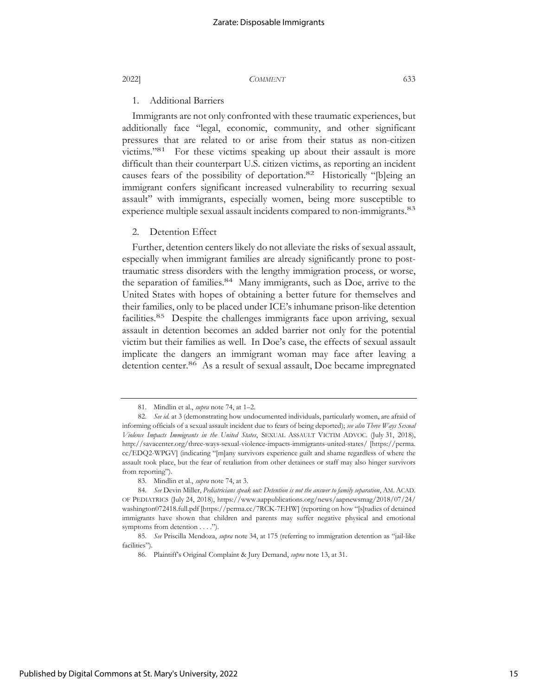## 1. Additional Barriers

Immigrants are not only confronted with these traumatic experiences, but additionally face "legal, economic, community, and other significant pressures that are related to or arise from their status as non-citizen victims."81 For these victims speaking up about their assault is more difficult than their counterpart U.S. citizen victims, as reporting an incident causes fears of the possibility of deportation.82 Historically "[b]eing an immigrant confers significant increased vulnerability to recurring sexual assault" with immigrants, especially women, being more susceptible to experience multiple sexual assault incidents compared to non-immigrants.<sup>83</sup>

#### 2. Detention Effect

Further, detention centers likely do not alleviate the risks of sexual assault, especially when immigrant families are already significantly prone to posttraumatic stress disorders with the lengthy immigration process, or worse, the separation of families.<sup>84</sup> Many immigrants, such as Doe, arrive to the United States with hopes of obtaining a better future for themselves and their families, only to be placed under ICE's inhumane prison-like detention facilities.85 Despite the challenges immigrants face upon arriving, sexual assault in detention becomes an added barrier not only for the potential victim but their families as well. In Doe's case, the effects of sexual assault implicate the dangers an immigrant woman may face after leaving a detention center.<sup>86</sup> As a result of sexual assault, Doe became impregnated

<sup>81.</sup> Mindlin et al., *supra* note 74, at 1–2.

<sup>82.</sup> *See id.* at 3 (demonstrating how undocumented individuals, particularly women, are afraid of informing officials of a sexual assault incident due to fears of being deported); *see also Three Ways Sexual Violence Impacts Immigrants in the United States*, SEXUAL ASSAULT VICTIM ADVOC. (July 31, 2018), http://savacenter.org/three-ways-sexual-violence-impacts-immigrants-united-states/ [https://perma. cc/EDQ2-WPGV] (indicating "[m]any survivors experience guilt and shame regardless of where the assault took place, but the fear of retaliation from other detainees or staff may also hinger survivors from reporting").

<sup>83.</sup> Mindlin et al., *supra* note 74, at 3.

<sup>84.</sup> *See* Devin Miller, *Pediatricians speak out: Detention is not the answer to family separation*, AM. ACAD. OF PEDIATRICS (July 24, 2018), https://www.aappublications.org/news/aapnewsmag/2018/07/24/ washington072418.full.pdf [https://perma.cc/7RCK-7EHW] (reporting on how "[s]tudies of detained immigrants have shown that children and parents may suffer negative physical and emotional symptoms from detention . . . .").

<sup>85.</sup> *See* Priscilla Mendoza, *supra* note 34, at 175 (referring to immigration detention as "jail-like facilities").

<sup>86.</sup> Plaintiff's Original Complaint & Jury Demand, *supra* note 13, at 31.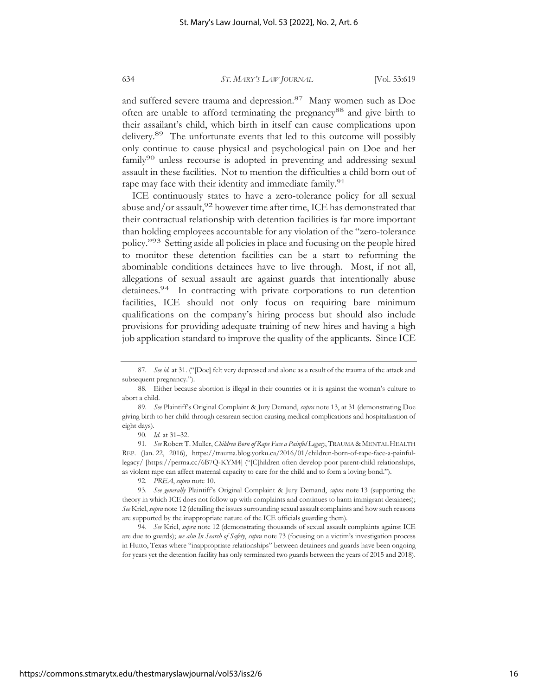and suffered severe trauma and depression.<sup>87</sup> Many women such as Doe often are unable to afford terminating the pregnancy<sup>88</sup> and give birth to their assailant's child, which birth in itself can cause complications upon delivery.<sup>89</sup> The unfortunate events that led to this outcome will possibly only continue to cause physical and psychological pain on Doe and her family<sup>90</sup> unless recourse is adopted in preventing and addressing sexual assault in these facilities. Not to mention the difficulties a child born out of rape may face with their identity and immediate family.<sup>91</sup>

ICE continuously states to have a zero-tolerance policy for all sexual abuse and/or assault,  $^{92}$  however time after time, ICE has demonstrated that their contractual relationship with detention facilities is far more important than holding employees accountable for any violation of the "zero-tolerance policy."93 Setting aside all policies in place and focusing on the people hired to monitor these detention facilities can be a start to reforming the abominable conditions detainees have to live through. Most, if not all, allegations of sexual assault are against guards that intentionally abuse detainees.<sup>94</sup> In contracting with private corporations to run detention facilities, ICE should not only focus on requiring bare minimum qualifications on the company's hiring process but should also include provisions for providing adequate training of new hires and having a high job application standard to improve the quality of the applicants. Since ICE

<sup>87.</sup> *See id.* at 31. ("[Doe] felt very depressed and alone as a result of the trauma of the attack and subsequent pregnancy.").

<sup>88.</sup> Either because abortion is illegal in their countries or it is against the woman's culture to abort a child.

<sup>89.</sup> *See* Plaintiff's Original Complaint & Jury Demand, *supra* note 13, at 31 (demonstrating Doe giving birth to her child through cesarean section causing medical complications and hospitalization of eight days).

<sup>90.</sup> *Id.* at 31–32.

<sup>91.</sup> *See* Robert T. Muller, *Children Born of Rape Face a Painful Legacy*, TRAUMA & MENTAL HEALTH REP. (Jan. 22, 2016), https://trauma.blog.yorku.ca/2016/01/children-born-of-rape-face-a-painfullegacy/ [https://perma.cc/6B7Q-KYM4] ("[C]hildren often develop poor parent-child relationships, as violent rape can affect maternal capacity to care for the child and to form a loving bond.").

<sup>92.</sup> *PREA*, *supra* note 10.

<sup>93.</sup> *See generally* Plaintiff's Original Complaint & Jury Demand, *supra* note 13 (supporting the theory in which ICE does not follow up with complaints and continues to harm immigrant detainees); *See* Kriel, *supra* note 12 (detailing the issues surrounding sexual assault complaints and how such reasons are supported by the inappropriate nature of the ICE officials guarding them).

<sup>94.</sup> *See* Kriel, *supra* note 12 (demonstrating thousands of sexual assault complaints against ICE are due to guards); *see also In Search of Safety*, *supra* note 73 (focusing on a victim's investigation process in Hutto, Texas where "inappropriate relationships" between detainees and guards have been ongoing for years yet the detention facility has only terminated two guards between the years of 2015 and 2018).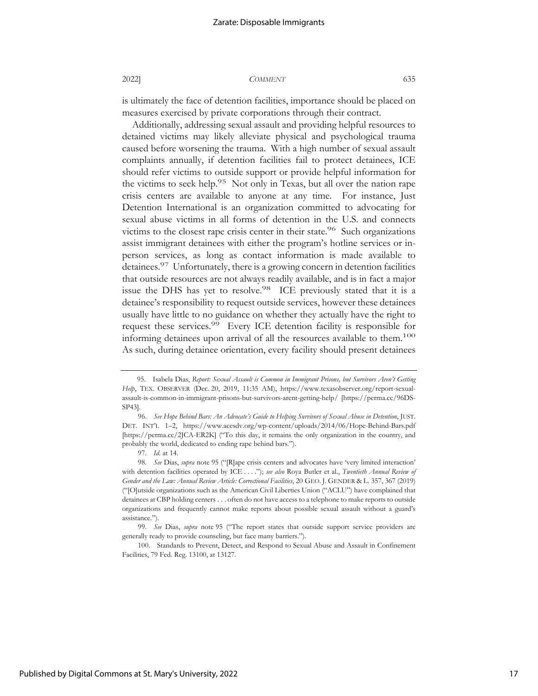is ultimately the face of detention facilities, importance should be placed on measures exercised by private corporations through their contract.

Additionally, addressing sexual assault and providing helpful resources to detained victims may likely alleviate physical and psychological trauma caused before worsening the trauma. With a high number of sexual assault complaints annually, if detention facilities fail to protect detainees, ICE should refer victims to outside support or provide helpful information for the victims to seek help.<sup>95</sup> Not only in Texas, but all over the nation rape crisis centers are available to anyone at any time. For instance, Just Detention International is an organization committed to advocating for sexual abuse victims in all forms of detention in the U.S. and connects victims to the closest rape crisis center in their state.<sup>96</sup> Such organizations assist immigrant detainees with either the program's hotline services or inperson services, as long as contact information is made available to detainees.<sup>97</sup> Unfortunately, there is a growing concern in detention facilities that outside resources are not always readily available, and is in fact a major issue the DHS has yet to resolve.<sup>98</sup> ICE previously stated that it is a detainee's responsibility to request outside services, however these detainees usually have little to no guidance on whether they actually have the right to request these services.<sup>99</sup> Every ICE detention facility is responsible for informing detainees upon arrival of all the resources available to them.<sup>100</sup> As such, during detainee orientation, every facility should present detainees

 <sup>95.</sup> Isabela Dias, *Report: Sexual Assault is Common in Immigrant Prisons, but Survivors Aren't Getting Help*, TEX. OBSERVER (Dec. 20, 2019, 11:35 AM), https://www.texasobserver.org/report-sexualassault-is-common-in-immigrant-prisons-but-survivors-arent-getting-help/ [https://perma.cc/96DS-SP43].

<sup>96.</sup> *See Hope Behind Bars: An Advocate's Guide to Helping Survivors of Sexual Abuse in Detention*, JUST. DET. INT'L 1–2, https://www.acesdv.org/wp-content/uploads/2014/06/Hope-Behind-Bars.pdf [https://perma.cc/2JCA-ER2K] ("To this day, it remains the only organization in the country, and probably the world, dedicated to ending rape behind bars.").

<sup>97.</sup> *Id.* at 14.

<sup>98.</sup> *See* Dias, *supra* note 95 ("[R]ape crisis centers and advocates have 'very limited interaction' with detention facilities operated by ICE . . . ."); *see also* Roya Butler et al., *Twentieth Annual Review of Gender and the Law: Annual Review Article: Correctional Facilities*, 20 GEO. J. GENDER & L. 357, 367 (2019) ("[O]utside organizations such as the American Civil Liberties Union ("ACLU") have complained that detainees at CBP holding centers . . . often do not have access to a telephone to make reports to outside organizations and frequently cannot make reports about possible sexual assault without a guard's assistance.").

<sup>99.</sup> *See* Dias, *supra* note 95 ("The report states that outside support service providers are generally ready to provide counseling, but face many barriers.").

<sup>100.</sup> Standards to Prevent, Detect, and Respond to Sexual Abuse and Assault in Confinement Facilities, 79 Fed. Reg. 13100, at 13127.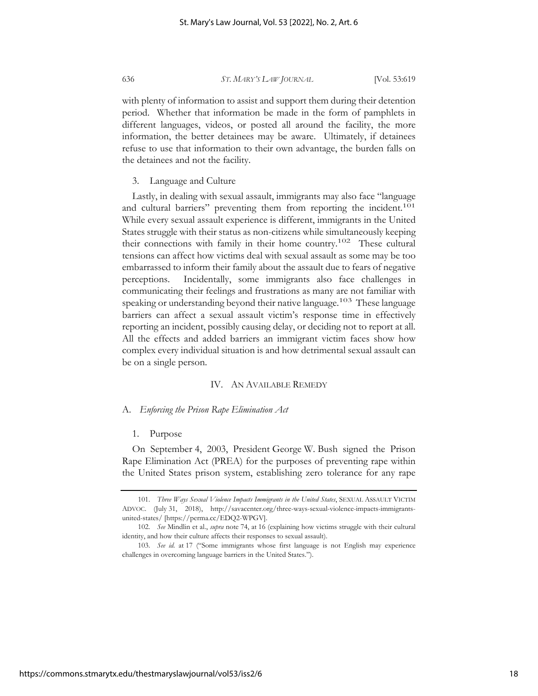with plenty of information to assist and support them during their detention period. Whether that information be made in the form of pamphlets in different languages, videos, or posted all around the facility, the more information, the better detainees may be aware. Ultimately, if detainees refuse to use that information to their own advantage, the burden falls on the detainees and not the facility.

### 3. Language and Culture

Lastly, in dealing with sexual assault, immigrants may also face "language and cultural barriers" preventing them from reporting the incident.<sup>101</sup> While every sexual assault experience is different, immigrants in the United States struggle with their status as non-citizens while simultaneously keeping their connections with family in their home country.102 These cultural tensions can affect how victims deal with sexual assault as some may be too embarrassed to inform their family about the assault due to fears of negative perceptions. Incidentally, some immigrants also face challenges in communicating their feelings and frustrations as many are not familiar with speaking or understanding beyond their native language.<sup>103</sup> These language barriers can affect a sexual assault victim's response time in effectively reporting an incident, possibly causing delay, or deciding not to report at all. All the effects and added barriers an immigrant victim faces show how complex every individual situation is and how detrimental sexual assault can be on a single person.

### IV. AN AVAILABLE REMEDY

#### A. *Enforcing the Prison Rape Elimination Act*

#### 1. Purpose

On September 4, 2003, President George W. Bush signed the Prison Rape Elimination Act (PREA) for the purposes of preventing rape within the United States prison system, establishing zero tolerance for any rape

<sup>101.</sup> *Three Ways Sexual Violence Impacts Immigrants in the United States*, SEXUAL ASSAULT VICTIM ADVOC. (July 31, 2018), http://savacenter.org/three-ways-sexual-violence-impacts-immigrantsunited-states/ [https://perma.cc/EDQ2-WPGV].

<sup>102.</sup> *See* Mindlin et al., *supra* note 74, at 16 (explaining how victims struggle with their cultural identity, and how their culture affects their responses to sexual assault).

<sup>103.</sup> *See id.* at 17 ("Some immigrants whose first language is not English may experience challenges in overcoming language barriers in the United States.").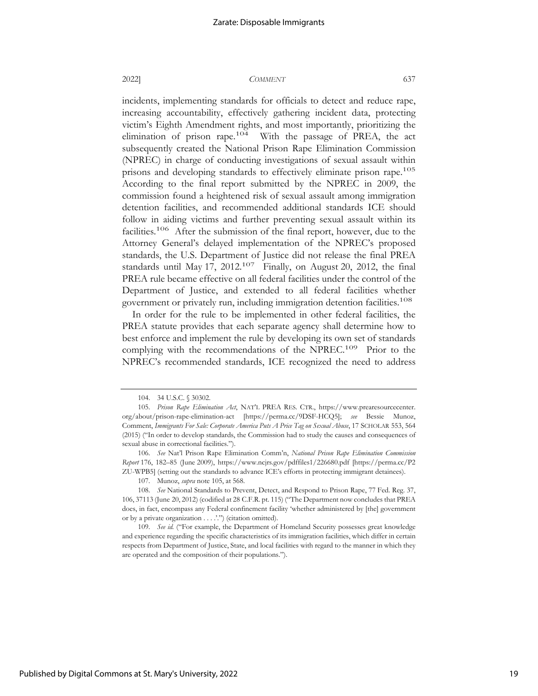incidents, implementing standards for officials to detect and reduce rape, increasing accountability, effectively gathering incident data, protecting victim's Eighth Amendment rights, and most importantly, prioritizing the elimination of prison rape.<sup>104</sup> With the passage of PREA, the act subsequently created the National Prison Rape Elimination Commission (NPREC) in charge of conducting investigations of sexual assault within prisons and developing standards to effectively eliminate prison rape.<sup>105</sup> According to the final report submitted by the NPREC in 2009, the commission found a heightened risk of sexual assault among immigration detention facilities, and recommended additional standards ICE should follow in aiding victims and further preventing sexual assault within its facilities.<sup>106</sup> After the submission of the final report, however, due to the Attorney General's delayed implementation of the NPREC's proposed standards, the U.S. Department of Justice did not release the final PREA standards until May 17,  $2012<sup>107</sup>$  Finally, on August 20, 2012, the final PREA rule became effective on all federal facilities under the control of the Department of Justice, and extended to all federal facilities whether government or privately run, including immigration detention facilities.108

In order for the rule to be implemented in other federal facilities, the PREA statute provides that each separate agency shall determine how to best enforce and implement the rule by developing its own set of standards complying with the recommendations of the NPREC.109 Prior to the NPREC's recommended standards, ICE recognized the need to address

<sup>104. 34</sup> U.S.C. § 30302.

<sup>105.</sup> *Prison Rape Elimination Act*, NAT'L PREA RES. CTR., https://www.prearesourcecenter. org/about/prison-rape-elimination-act [https://perma.cc/9DSF-HCQ5]; *see* Bessie Munoz, Comment, *Immigrants For Sale: Corporate America Puts A Price Tag on Sexual Abuse*, 17 SCHOLAR 553, 564 (2015) ("In order to develop standards, the Commission had to study the causes and consequences of sexual abuse in correctional facilities.").

<sup>106.</sup> *See* Nat'l Prison Rape Elimination Comm'n, *National Prison Rape Elimination Commission Report* 176, 182–85 (June 2009), https://www.ncjrs.gov/pdffiles1/226680.pdf [https://perma.cc/P2 ZU-WPB5] (setting out the standards to advance ICE's efforts in protecting immigrant detainees).

<sup>107.</sup> Munoz, *supra* note 105, at 568.

<sup>108.</sup> *See* National Standards to Prevent, Detect, and Respond to Prison Rape, 77 Fed. Reg. 37, 106, 37113 (June 20, 2012) (codified at 28 C.F.R. pt. 115) ("The Department now concludes that PREA does, in fact, encompass any Federal confinement facility 'whether administered by [the] government or by a private organization . . . .'.") (citation omitted).

<sup>109.</sup> *See id.* ("For example, the Department of Homeland Security possesses great knowledge and experience regarding the specific characteristics of its immigration facilities, which differ in certain respects from Department of Justice, State, and local facilities with regard to the manner in which they are operated and the composition of their populations.").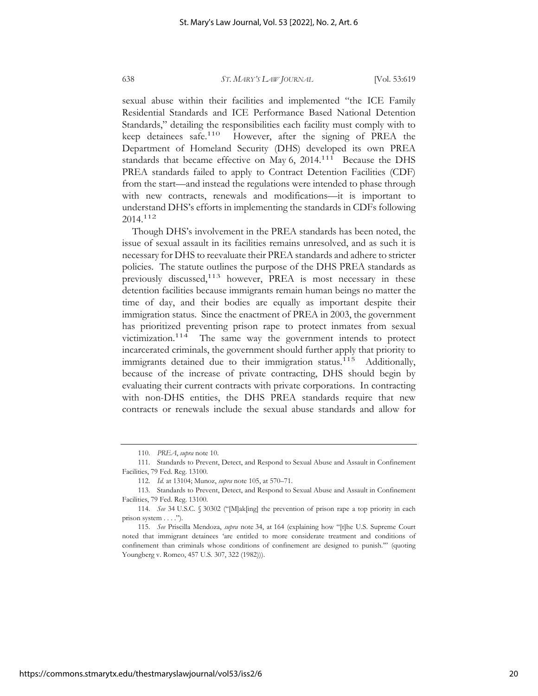sexual abuse within their facilities and implemented "the ICE Family Residential Standards and ICE Performance Based National Detention Standards," detailing the responsibilities each facility must comply with to keep detainees safe.<sup>110</sup> However, after the signing of PREA the Department of Homeland Security (DHS) developed its own PREA standards that became effective on May 6, 2014.<sup>111</sup> Because the DHS PREA standards failed to apply to Contract Detention Facilities (CDF) from the start—and instead the regulations were intended to phase through with new contracts, renewals and modifications—it is important to understand DHS's efforts in implementing the standards in CDFs following 2014.112

Though DHS's involvement in the PREA standards has been noted, the issue of sexual assault in its facilities remains unresolved, and as such it is necessary for DHS to reevaluate their PREA standards and adhere to stricter policies. The statute outlines the purpose of the DHS PREA standards as previously discussed,<sup>113</sup> however, PREA is most necessary in these detention facilities because immigrants remain human beings no matter the time of day, and their bodies are equally as important despite their immigration status. Since the enactment of PREA in 2003, the government has prioritized preventing prison rape to protect inmates from sexual victimization.114 The same way the government intends to protect incarcerated criminals, the government should further apply that priority to immigrants detained due to their immigration status.<sup>115</sup> Additionally, because of the increase of private contracting, DHS should begin by evaluating their current contracts with private corporations. In contracting with non-DHS entities, the DHS PREA standards require that new contracts or renewals include the sexual abuse standards and allow for

<sup>110.</sup> *PREA*, *supra* note 10.

<sup>111.</sup> Standards to Prevent, Detect, and Respond to Sexual Abuse and Assault in Confinement Facilities, 79 Fed. Reg. 13100.

<sup>112.</sup> *Id.* at 13104; Munoz, *supra* note 105, at 570–71.

<sup>113.</sup> Standards to Prevent, Detect, and Respond to Sexual Abuse and Assault in Confinement Facilities, 79 Fed. Reg. 13100.

<sup>114.</sup> *See* 34 U.S.C. § 30302 ("[M]ak[ing] the prevention of prison rape a top priority in each prison system . . . .").

<sup>115.</sup> *See* Priscilla Mendoza, *supra* note 34, at 164 (explaining how "[t]he U.S. Supreme Court noted that immigrant detainees 'are entitled to more considerate treatment and conditions of confinement than criminals whose conditions of confinement are designed to punish.'" (quoting Youngberg v. Romeo, 457 U.S. 307, 322 (1982))).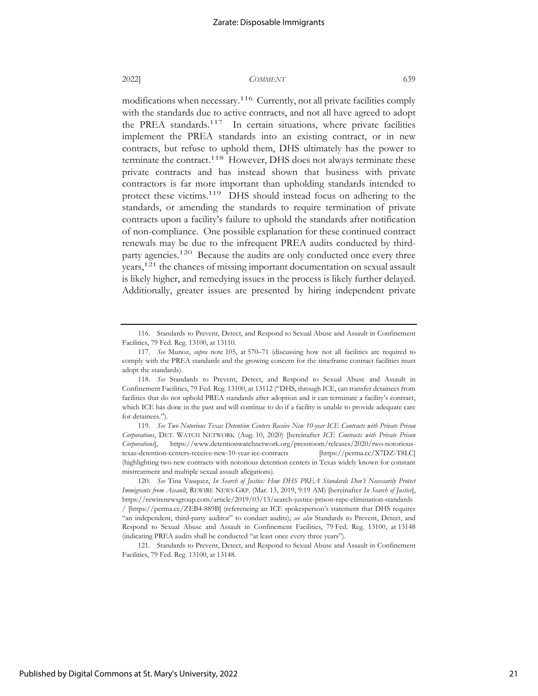modifications when necessary.<sup>116</sup> Currently, not all private facilities comply with the standards due to active contracts, and not all have agreed to adopt the PREA standards.<sup>117</sup> In certain situations, where private facilities implement the PREA standards into an existing contract, or in new contracts, but refuse to uphold them, DHS ultimately has the power to terminate the contract.<sup>118</sup> However, DHS does not always terminate these private contracts and has instead shown that business with private contractors is far more important than upholding standards intended to protect these victims.<sup>119</sup> DHS should instead focus on adhering to the standards, or amending the standards to require termination of private contracts upon a facility's failure to uphold the standards after notification of non-compliance. One possible explanation for these continued contract renewals may be due to the infrequent PREA audits conducted by thirdparty agencies.<sup>120</sup> Because the audits are only conducted once every three years,121 the chances of missing important documentation on sexual assault is likely higher, and remedying issues in the process is likely further delayed. Additionally, greater issues are presented by hiring independent private

121. Standards to Prevent, Detect, and Respond to Sexual Abuse and Assault in Confinement Facilities, 79 Fed. Reg. 13100, at 13148.

<sup>116.</sup> Standards to Prevent, Detect, and Respond to Sexual Abuse and Assault in Confinement Facilities, 79 Fed. Reg. 13100, at 13110.

<sup>117.</sup> *See* Munoz, *supra* note 105, at 570–71 (discussing how not all facilities are required to comply with the PREA standards and the growing concern for the timeframe contract facilities must adopt the standards).

<sup>118.</sup> *See* Standards to Prevent, Detect, and Respond to Sexual Abuse and Assault in Confinement Facilities, 79 Fed. Reg. 13100, at 13112 ("DHS, through ICE, can transfer detainees from facilities that do not uphold PREA standards after adoption and it can terminate a facility's contract, which ICE has done in the past and will continue to do if a facility is unable to provide adequate care for detainees.").

<sup>119.</sup> *See Two Notorious Texas Detention Centers Receive New 10-year ICE Contracts with Private Prison Corporations*, DET. WATCH NETWORK (Aug. 10, 2020) [hereinafter *ICE Contracts with Private Prison Corporations*], https://www.detentionwatchnetwork.org/pressroom/releases/2020/two-notorioustexas-detention-centers-receive-new-10-year-ice-contracts [https://perma.cc/X7DZ-T8LC] (highlighting two new contracts with notorious detention centers in Texas widely known for constant mistreatment and multiple sexual assault allegations).

<sup>120.</sup> *See* Tina Vasquez, *In Search of Justice: How DHS PREA Standards Don't Necessarily Protect Immigrants from Assault*, REWIRE NEWS GRP. (Mar. 13, 2019, 9:19 AM) [hereinafter *In Search of Justice*], https://rewirenewsgroup.com/article/2019/03/13/search-justice-prison-rape-elimination-standards / [https://perma.cc/ZEB4-889B] (referencing an ICE spokesperson's statement that DHS requires "an independent, third-party auditor" to conduct audits); *see also* Standards to Prevent, Detect, and Respond to Sexual Abuse and Assault in Confinement Facilities, 79 Fed. Reg. 13100, at 13148 (indicating PREA audits shall be conducted "at least once every three years").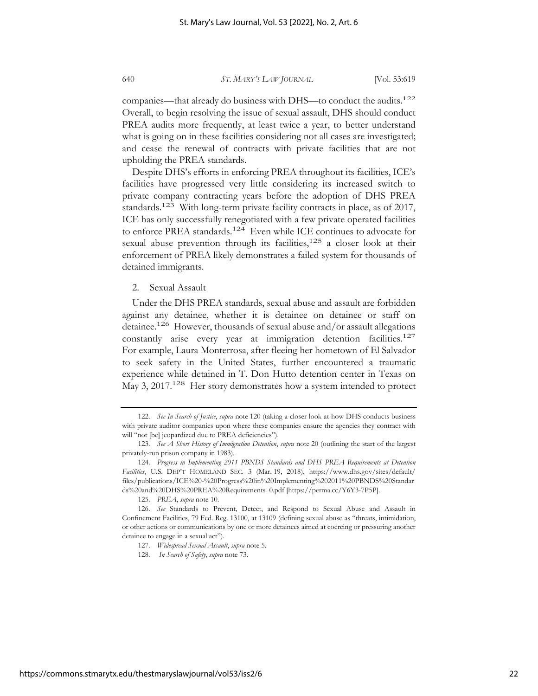companies—that already do business with DHS—to conduct the audits.<sup>122</sup> Overall, to begin resolving the issue of sexual assault, DHS should conduct PREA audits more frequently, at least twice a year, to better understand what is going on in these facilities considering not all cases are investigated; and cease the renewal of contracts with private facilities that are not upholding the PREA standards.

Despite DHS's efforts in enforcing PREA throughout its facilities, ICE's facilities have progressed very little considering its increased switch to private company contracting years before the adoption of DHS PREA standards.<sup>123</sup> With long-term private facility contracts in place, as of 2017, ICE has only successfully renegotiated with a few private operated facilities to enforce PREA standards.124 Even while ICE continues to advocate for sexual abuse prevention through its facilities, $125$  a closer look at their enforcement of PREA likely demonstrates a failed system for thousands of detained immigrants.

2. Sexual Assault

Under the DHS PREA standards, sexual abuse and assault are forbidden against any detainee, whether it is detainee on detainee or staff on detainee.126 However, thousands of sexual abuse and/or assault allegations constantly arise every year at immigration detention facilities.<sup>127</sup> For example, Laura Monterrosa, after fleeing her hometown of El Salvador to seek safety in the United States, further encountered a traumatic experience while detained in T. Don Hutto detention center in Texas on May 3, 2017.<sup>128</sup> Her story demonstrates how a system intended to protect

<sup>122.</sup> *See In Search of Justice*, *supra* note 120 (taking a closer look at how DHS conducts business with private auditor companies upon where these companies ensure the agencies they contract with will "not [be] jeopardized due to PREA deficiencies").

<sup>123.</sup> *See A Short History of Immigration Detention*, *supra* note 20 (outlining the start of the largest privately-run prison company in 1983).

<sup>124.</sup> *Progress in Implementing 2011 PBNDS Standards and DHS PREA Requirements at Detention Facilities*, U.S. DEP'T HOMELAND SEC. 3 (Mar. 19, 2018), https://www.dhs.gov/sites/default/ files/publications/ICE%20-%20Progress%20in%20Implementing%202011%20PBNDS%20Standar ds%20and%20DHS%20PREA%20Requirements\_0.pdf [https://perma.cc/Y6Y3-7P5P].

<sup>125.</sup> *PREA*, *supra* note 10.

<sup>126.</sup> *See* Standards to Prevent, Detect, and Respond to Sexual Abuse and Assault in Confinement Facilities, 79 Fed. Reg. 13100, at 13109 (defining sexual abuse as "threats, intimidation, or other actions or communications by one or more detainees aimed at coercing or pressuring another detainee to engage in a sexual act").

<sup>127.</sup> *Widespread Sexual Assault*, *supra* note 5.

<sup>128.</sup> *In Search of Safety*, *supra* note 73.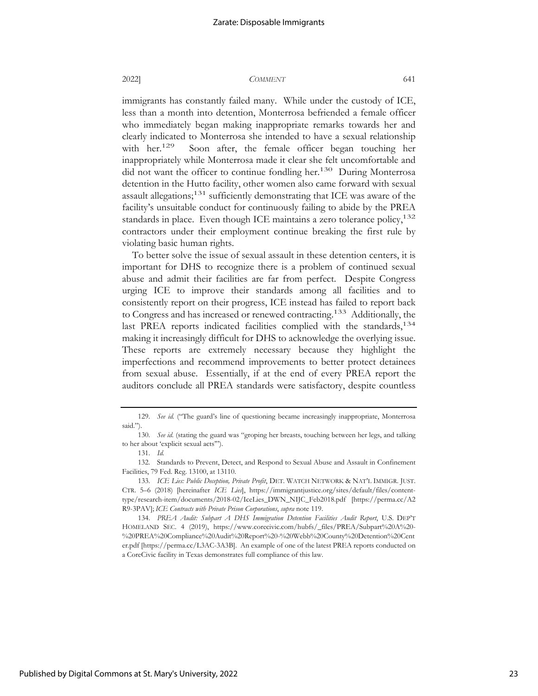immigrants has constantly failed many. While under the custody of ICE, less than a month into detention, Monterrosa befriended a female officer who immediately began making inappropriate remarks towards her and clearly indicated to Monterrosa she intended to have a sexual relationship with her.<sup>129</sup> Soon after, the female officer began touching her inappropriately while Monterrosa made it clear she felt uncomfortable and did not want the officer to continue fondling her.<sup>130</sup> During Monterrosa detention in the Hutto facility, other women also came forward with sexual assault allegations;<sup>131</sup> sufficiently demonstrating that ICE was aware of the facility's unsuitable conduct for continuously failing to abide by the PREA standards in place. Even though ICE maintains a zero tolerance policy,<sup>132</sup> contractors under their employment continue breaking the first rule by violating basic human rights.

To better solve the issue of sexual assault in these detention centers, it is important for DHS to recognize there is a problem of continued sexual abuse and admit their facilities are far from perfect. Despite Congress urging ICE to improve their standards among all facilities and to consistently report on their progress, ICE instead has failed to report back to Congress and has increased or renewed contracting.133 Additionally, the last PREA reports indicated facilities complied with the standards,  $134$ making it increasingly difficult for DHS to acknowledge the overlying issue. These reports are extremely necessary because they highlight the imperfections and recommend improvements to better protect detainees from sexual abuse. Essentially, if at the end of every PREA report the auditors conclude all PREA standards were satisfactory, despite countless

<sup>129.</sup> *See id.* ("The guard's line of questioning became increasingly inappropriate, Monterrosa said.").

<sup>130.</sup> *See id.* (stating the guard was "groping her breasts, touching between her legs, and talking to her about 'explicit sexual acts'").

<sup>131.</sup> *Id.*

<sup>132.</sup> Standards to Prevent, Detect, and Respond to Sexual Abuse and Assault in Confinement Facilities, 79 Fed. Reg. 13100, at 13110.

<sup>133.</sup> *ICE Lies: Public Deception, Private Profit*, DET. WATCH NETWORK & NAT'L IMMIGR. JUST. CTR. 5–6 (2018) [hereinafter *ICE Lies*], https://immigrantjustice.org/sites/default/files/contenttype/research-item/documents/2018-02/IceLies\_DWN\_NIJC\_Feb2018.pdf [https://perma.cc/A2 R9-3PAV]; *ICE Contracts with Private Prison Corporations*, *supra* note 119.

<sup>134.</sup> *PREA Audit: Subpart A DHS Immigration Detention Facilities Audit Report*, U.S. DEP'T HOMELAND SEC. 4 (2019), https://www.corecivic.com/hubfs/\_files/PREA/Subpart%20A%20- %20PREA%20Compliance%20Audit%20Report%20-%20Webb%20County%20Detention%20Cent er.pdf [https://perma.cc/L3AC-3A3B]. An example of one of the latest PREA reports conducted on a CoreCivic facility in Texas demonstrates full compliance of this law.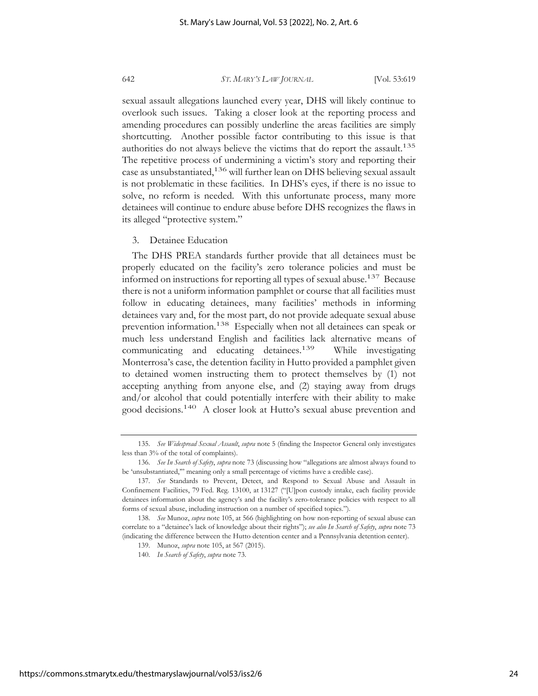sexual assault allegations launched every year, DHS will likely continue to overlook such issues. Taking a closer look at the reporting process and amending procedures can possibly underline the areas facilities are simply shortcutting. Another possible factor contributing to this issue is that authorities do not always believe the victims that do report the assault.<sup>135</sup> The repetitive process of undermining a victim's story and reporting their case as unsubstantiated,<sup>136</sup> will further lean on DHS believing sexual assault is not problematic in these facilities. In DHS's eyes, if there is no issue to solve, no reform is needed. With this unfortunate process, many more detainees will continue to endure abuse before DHS recognizes the flaws in its alleged "protective system."

#### 3. Detainee Education

The DHS PREA standards further provide that all detainees must be properly educated on the facility's zero tolerance policies and must be informed on instructions for reporting all types of sexual abuse.137 Because there is not a uniform information pamphlet or course that all facilities must follow in educating detainees, many facilities' methods in informing detainees vary and, for the most part, do not provide adequate sexual abuse prevention information.138 Especially when not all detainees can speak or much less understand English and facilities lack alternative means of communicating and educating detainees.139 While investigating Monterrosa's case, the detention facility in Hutto provided a pamphlet given to detained women instructing them to protect themselves by (1) not accepting anything from anyone else, and (2) staying away from drugs and/or alcohol that could potentially interfere with their ability to make good decisions.140 A closer look at Hutto's sexual abuse prevention and

<sup>135.</sup> *See Widespread Sexual Assault*, *supra* note 5 (finding the Inspector General only investigates less than 3% of the total of complaints).

<sup>136.</sup> *See In Search of Safety*, *supra* note 73 (discussing how "allegations are almost always found to be 'unsubstantiated,'" meaning only a small percentage of victims have a credible case).

<sup>137.</sup> *See* Standards to Prevent, Detect, and Respond to Sexual Abuse and Assault in Confinement Facilities, 79 Fed. Reg. 13100, at 13127 ("[U]pon custody intake, each facility provide detainees information about the agency's and the facility's zero-tolerance policies with respect to all forms of sexual abuse, including instruction on a number of specified topics.").

<sup>138.</sup> *See* Munoz, *supra* note 105, at 566 (highlighting on how non-reporting of sexual abuse can correlate to a "detainee's lack of knowledge about their rights"); *see also In Search of Safety*, *supra* note 73 (indicating the difference between the Hutto detention center and a Pennsylvania detention center).

<sup>139.</sup> Munoz, *supra* note 105, at 567 (2015).

<sup>140.</sup> *In Search of Safety*, *supra* note 73.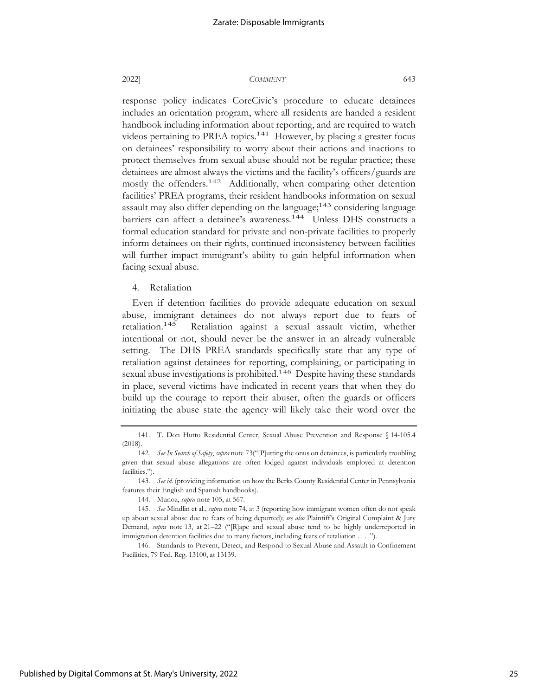response policy indicates CoreCivic's procedure to educate detainees includes an orientation program, where all residents are handed a resident handbook including information about reporting, and are required to watch videos pertaining to PREA topics.<sup>141</sup> However, by placing a greater focus on detainees' responsibility to worry about their actions and inactions to protect themselves from sexual abuse should not be regular practice; these detainees are almost always the victims and the facility's officers/guards are mostly the offenders.<sup>142</sup> Additionally, when comparing other detention facilities' PREA programs, their resident handbooks information on sexual assault may also differ depending on the language; $143$  considering language barriers can affect a detainee's awareness.<sup>144</sup> Unless DHS constructs a formal education standard for private and non-private facilities to properly inform detainees on their rights, continued inconsistency between facilities will further impact immigrant's ability to gain helpful information when facing sexual abuse.

4. Retaliation

Even if detention facilities do provide adequate education on sexual abuse, immigrant detainees do not always report due to fears of retaliation.145 Retaliation against a sexual assault victim, whether intentional or not, should never be the answer in an already vulnerable setting. The DHS PREA standards specifically state that any type of retaliation against detainees for reporting, complaining, or participating in sexual abuse investigations is prohibited.<sup>146</sup> Despite having these standards in place, several victims have indicated in recent years that when they do build up the courage to report their abuser, often the guards or officers initiating the abuse state the agency will likely take their word over the

146. Standards to Prevent, Detect, and Respond to Sexual Abuse and Assault in Confinement Facilities, 79 Fed. Reg. 13100, at 13139.

Published by Digital Commons at St. Mary's University, 2022

<sup>141.</sup> T. Don Hutto Residential Center, Sexual Abuse Prevention and Response § 14-105.4 (2018).

<sup>142.</sup> *See In Search of Safety*, *supra* note 73("[P]utting the onus on detainees, is particularly troubling given that sexual abuse allegations are often lodged against individuals employed at detention facilities.").

<sup>143.</sup> *See id.* (providing information on how the Berks County Residential Center in Pennsylvania features their English and Spanish handbooks).

<sup>144.</sup> Munoz, *supra* note 105, at 567.

<sup>145.</sup> *See* Mindlin et al., *supra* note 74, at 3 (reporting how immigrant women often do not speak up about sexual abuse due to fears of being deported); *see also* Plaintiff's Original Complaint & Jury Demand, *supra* note 13, at 21–22 ("[R]ape and sexual abuse tend to be highly underreported in immigration detention facilities due to many factors, including fears of retaliation . . . .").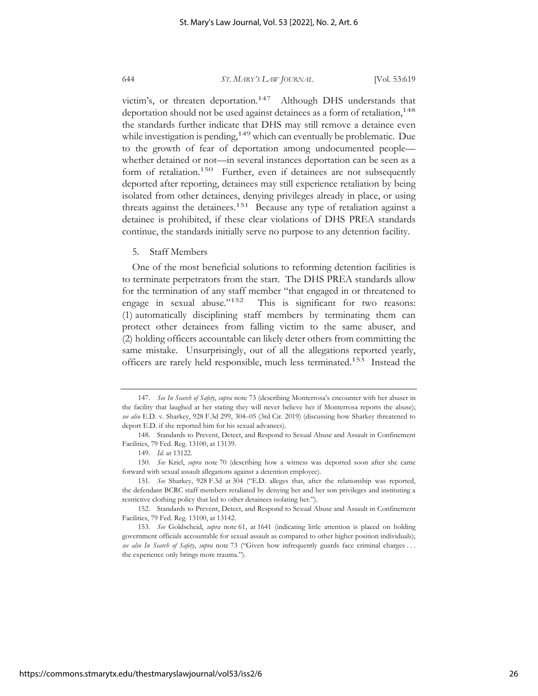victim's, or threaten deportation.<sup>147</sup> Although DHS understands that deportation should not be used against detainees as a form of retaliation,<sup>148</sup> the standards further indicate that DHS may still remove a detainee even while investigation is pending,<sup>149</sup> which can eventually be problematic. Due to the growth of fear of deportation among undocumented people whether detained or not—in several instances deportation can be seen as a form of retaliation.<sup>150</sup> Further, even if detainees are not subsequently deported after reporting, detainees may still experience retaliation by being isolated from other detainees, denying privileges already in place, or using threats against the detainees.<sup>151</sup> Because any type of retaliation against a detainee is prohibited, if these clear violations of DHS PREA standards continue, the standards initially serve no purpose to any detention facility.

#### 5. Staff Members

One of the most beneficial solutions to reforming detention facilities is to terminate perpetrators from the start. The DHS PREA standards allow for the termination of any staff member "that engaged in or threatened to engage in sexual abuse."152 This is significant for two reasons: (1) automatically disciplining staff members by terminating them can protect other detainees from falling victim to the same abuser, and (2) holding officers accountable can likely deter others from committing the same mistake. Unsurprisingly, out of all the allegations reported yearly, officers are rarely held responsible, much less terminated.153 Instead the

<sup>147.</sup> *See In Search of Safety*, *supra* note 73 (describing Monterrosa's encounter with her abuser in the facility that laughed at her stating they will never believe her if Monterrosa reports the abuse); *see also* E.D. v. Sharkey, 928 F.3d 299, 304–05 (3rd Cir. 2019) (discussing how Sharkey threatened to deport E.D. if she reported him for his sexual advances).

<sup>148.</sup> Standards to Prevent, Detect, and Respond to Sexual Abuse and Assault in Confinement Facilities, 79 Fed. Reg. 13100, at 13139.

<sup>149.</sup> *Id.* at 13122.

<sup>150.</sup> *See* Kriel, *supra* note 70 (describing how a witness was deported soon after she came forward with sexual assault allegations against a detention employee).

<sup>151.</sup> *See* Sharkey, 928 F.3d at 304 ("E.D. alleges that, after the relationship was reported, the defendant BCRC staff members retaliated by denying her and her son privileges and instituting a restrictive clothing policy that led to other detainees isolating her.").

<sup>152.</sup> Standards to Prevent, Detect, and Respond to Sexual Abuse and Assault in Confinement Facilities, 79 Fed. Reg. 13100, at 13142.

<sup>153.</sup> *See* Goldscheid, *supra* note 61, at 1641 (indicating little attention is placed on holding government officials accountable for sexual assault as compared to other higher position individuals); *see also In Search of Safety*, *supra* note 73 ("Given how infrequently guards face criminal charges . . . the experience only brings more trauma.").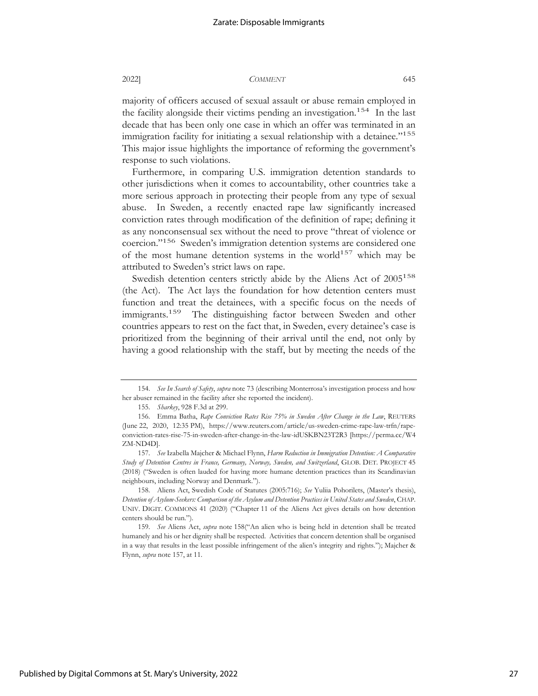majority of officers accused of sexual assault or abuse remain employed in the facility alongside their victims pending an investigation.<sup>154</sup> In the last decade that has been only one case in which an offer was terminated in an immigration facility for initiating a sexual relationship with a detainee."<sup>155</sup> This major issue highlights the importance of reforming the government's response to such violations.

Furthermore, in comparing U.S. immigration detention standards to other jurisdictions when it comes to accountability, other countries take a more serious approach in protecting their people from any type of sexual abuse. In Sweden, a recently enacted rape law significantly increased conviction rates through modification of the definition of rape; defining it as any nonconsensual sex without the need to prove "threat of violence or coercion."156 Sweden's immigration detention systems are considered one of the most humane detention systems in the world<sup>157</sup> which may be attributed to Sweden's strict laws on rape.

Swedish detention centers strictly abide by the Aliens Act of 2005<sup>158</sup> (the Act). The Act lays the foundation for how detention centers must function and treat the detainees, with a specific focus on the needs of immigrants.<sup>159</sup> The distinguishing factor between Sweden and other countries appears to rest on the fact that, in Sweden, every detainee's case is prioritized from the beginning of their arrival until the end, not only by having a good relationship with the staff, but by meeting the needs of the

<sup>154.</sup> *See In Search of Safety*, *supra* note 73 (describing Monterrosa's investigation process and how her abuser remained in the facility after she reported the incident).

<sup>155.</sup> *Sharkey*, 928 F.3d at 299.

<sup>156.</sup> Emma Batha, *Rape Conviction Rates Rise 75% in Sweden After Change in the Law*, REUTERS (June 22, 2020, 12:35 PM), https://www.reuters.com/article/us-sweden-crime-rape-law-trfn/rapeconviction-rates-rise-75-in-sweden-after-change-in-the-law-idUSKBN23T2R3 [https://perma.cc/W4 ZM-ND4D].

<sup>157.</sup> *See* Izabella Majcher & Michael Flynn, *Harm Reduction in Immigration Detention: A Comparative Study of Detention Centres in France, Germany, Norway, Sweden, and Switzerland*, GLOB. DET. PROJECT 45 (2018) ("Sweden is often lauded for having more humane detention practices than its Scandinavian neighbours, including Norway and Denmark.").

<sup>158.</sup> Aliens Act, Swedish Code of Statutes (2005:716); *See* Yuliia Pohorilets, (Master's thesis), *Detention of Asylum-Seekers: Comparison of the Asylum and Detention Practices in United States and Sweden*, CHAP. UNIV. DIGIT. COMMONS 41 (2020) ("Chapter 11 of the Aliens Act gives details on how detention centers should be run.").

<sup>159.</sup> *See* Aliens Act, *supra* note 158("An alien who is being held in detention shall be treated humanely and his or her dignity shall be respected. Activities that concern detention shall be organised in a way that results in the least possible infringement of the alien's integrity and rights."); Majcher & Flynn, *supra* note 157, at 11.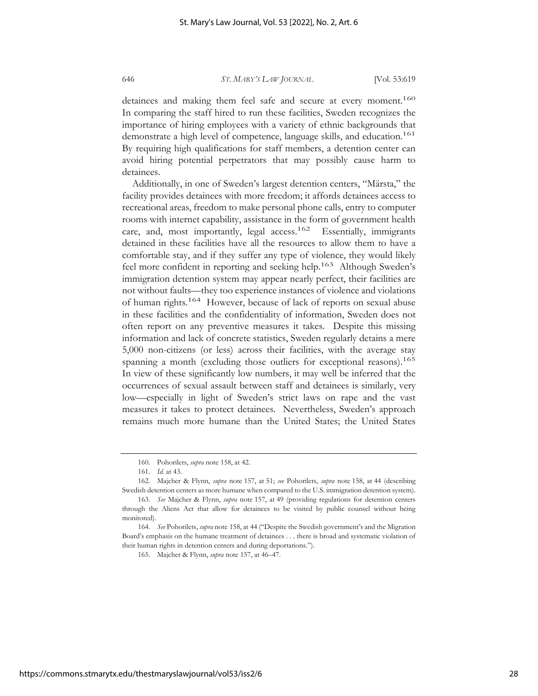detainees and making them feel safe and secure at every moment.<sup>160</sup> In comparing the staff hired to run these facilities, Sweden recognizes the importance of hiring employees with a variety of ethnic backgrounds that demonstrate a high level of competence, language skills, and education.<sup>161</sup> By requiring high qualifications for staff members, a detention center can avoid hiring potential perpetrators that may possibly cause harm to detainees.

Additionally, in one of Sweden's largest detention centers, "Märsta," the facility provides detainees with more freedom; it affords detainees access to recreational areas, freedom to make personal phone calls, entry to computer rooms with internet capability, assistance in the form of government health care, and, most importantly, legal access.<sup>162</sup> Essentially, immigrants detained in these facilities have all the resources to allow them to have a comfortable stay, and if they suffer any type of violence, they would likely feel more confident in reporting and seeking help.<sup>163</sup> Although Sweden's immigration detention system may appear nearly perfect, their facilities are not without faults—they too experience instances of violence and violations of human rights.164 However, because of lack of reports on sexual abuse in these facilities and the confidentiality of information, Sweden does not often report on any preventive measures it takes. Despite this missing information and lack of concrete statistics, Sweden regularly detains a mere 5,000 non-citizens (or less) across their facilities, with the average stay spanning a month (excluding those outliers for exceptional reasons).<sup>165</sup> In view of these significantly low numbers, it may well be inferred that the occurrences of sexual assault between staff and detainees is similarly, very low—especially in light of Sweden's strict laws on rape and the vast measures it takes to protect detainees. Nevertheless, Sweden's approach remains much more humane than the United States; the United States

<sup>160.</sup> Pohorilets, *supra* note 158, at 42.

<sup>161.</sup> *Id.* at 43.

<sup>162.</sup> Majcher & Flynn, *supra* note 157, at 51; *see* Pohorilets, *supra* note 158, at 44 (describing Swedish detention centers as more humane when compared to the U.S. immigration detention system).

<sup>163.</sup> *See* Majcher & Flynn, *supra* note 157, at 49 (providing regulations for detention centers through the Aliens Act that allow for detainees to be visited by public counsel without being monitored).

<sup>164.</sup> *See* Pohorilets, *supra* note 158, at 44 ("Despite the Swedish government's and the Migration Board's emphasis on the humane treatment of detainees . . . there is broad and systematic violation of their human rights in detention centers and during deportations.").

<sup>165.</sup> Majcher & Flynn, *supra* note 157, at 46–47.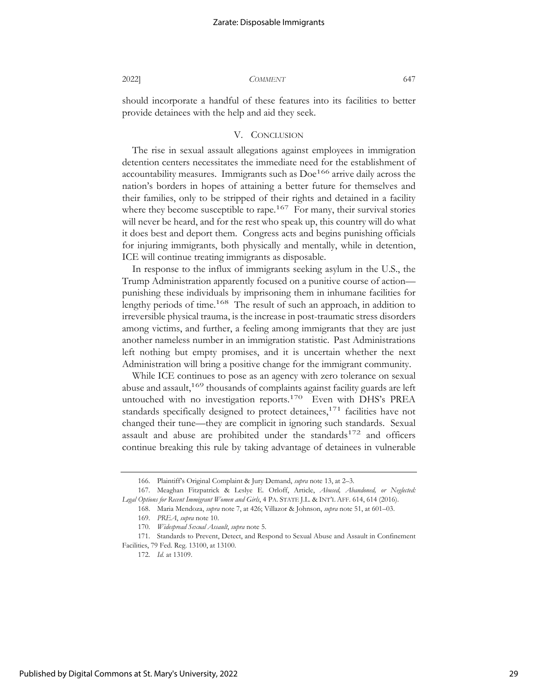should incorporate a handful of these features into its facilities to better provide detainees with the help and aid they seek.

#### V. CONCLUSION

The rise in sexual assault allegations against employees in immigration detention centers necessitates the immediate need for the establishment of accountability measures. Immigrants such as  $Doe^{166}$  arrive daily across the nation's borders in hopes of attaining a better future for themselves and their families, only to be stripped of their rights and detained in a facility where they become susceptible to rape.<sup>167</sup> For many, their survival stories will never be heard, and for the rest who speak up, this country will do what it does best and deport them. Congress acts and begins punishing officials for injuring immigrants, both physically and mentally, while in detention, ICE will continue treating immigrants as disposable.

In response to the influx of immigrants seeking asylum in the U.S., the Trump Administration apparently focused on a punitive course of action punishing these individuals by imprisoning them in inhumane facilities for lengthy periods of time.<sup>168</sup> The result of such an approach, in addition to irreversible physical trauma, is the increase in post-traumatic stress disorders among victims, and further, a feeling among immigrants that they are just another nameless number in an immigration statistic. Past Administrations left nothing but empty promises, and it is uncertain whether the next Administration will bring a positive change for the immigrant community.

While ICE continues to pose as an agency with zero tolerance on sexual abuse and assault,<sup>169</sup> thousands of complaints against facility guards are left untouched with no investigation reports.<sup>170</sup> Even with DHS's PREA standards specifically designed to protect detainees, $171$  facilities have not changed their tune—they are complicit in ignoring such standards. Sexual assault and abuse are prohibited under the standards $172$  and officers continue breaking this rule by taking advantage of detainees in vulnerable

172. *Id.* at 13109.

<sup>166.</sup> Plaintiff's Original Complaint & Jury Demand, *supra* note 13, at 2–3.

<sup>167.</sup> Meaghan Fitzpatrick & Leslye E. Orloff, Article, *Abused, Abandoned, or Neglected: Legal Options for Recent Immigrant Women and Girls*, 4 PA. STATE J.L. & INT'L AFF. 614, 614 (2016).

<sup>168.</sup> Maria Mendoza, *supra* note 7, at 426; Villazor & Johnson, *supra* note 51, at 601–03.

<sup>169.</sup> *PREA*, *supra* note 10.

<sup>170.</sup> *Widespread Sexual Assault*, *supra* note 5.

<sup>171.</sup> Standards to Prevent, Detect, and Respond to Sexual Abuse and Assault in Confinement Facilities, 79 Fed. Reg. 13100, at 13100.